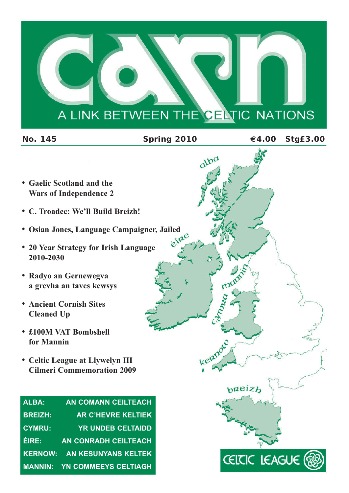# A LINK BETWEEN THE CELTIC NATIONS

| <b>No. 145</b>                                                       | Spring 2010 | €4.00                   | <b>Stg£3.00</b> |
|----------------------------------------------------------------------|-------------|-------------------------|-----------------|
|                                                                      | alba        |                         |                 |
| • Gaelic Scotland and the                                            |             |                         |                 |
| <b>Wars of Independence 2</b>                                        |             |                         |                 |
| • C. Troadec: We'll Build Breizh!                                    |             |                         |                 |
| • Osian Jones, Language Campaigner, Jailed                           |             |                         |                 |
| • 20 Year Strategy for Irish Language<br>2010-2030                   | eine        |                         |                 |
| • Radyo an Gernewegva<br>a grevha an taves kewsys                    | mo          |                         |                 |
| <b>• Ancient Cornish Sites</b><br><b>Cleaned Up</b>                  |             |                         |                 |
| £100M VAT Bombshell<br>for Mannin                                    |             |                         |                 |
| • Celtic League at Llywelyn III<br><b>Cilmeri Commemoration 2009</b> | kelanot     |                         |                 |
|                                                                      | preiz       |                         |                 |
| <b>ALBA:</b><br><b>AN COMANN CEILTEACH</b>                           |             |                         |                 |
| <b>BREIZH:</b><br><b>AR C'HEVRE KELTIEK</b>                          |             |                         |                 |
| <b>CYMRU:</b><br><b>YR UNDEB CELTAIDD</b>                            |             |                         |                 |
| ÉIRE:<br><b>AN CONRADH CEILTEACH</b>                                 |             |                         |                 |
| <b>KERNOW:</b><br><b>AN KESUNYANS KELTEK</b>                         |             | <b>CEITIC LEAGUE (您</b> |                 |
| <b>MANNIN:</b><br>YN COMMEEYS CELTIAGH                               |             |                         |                 |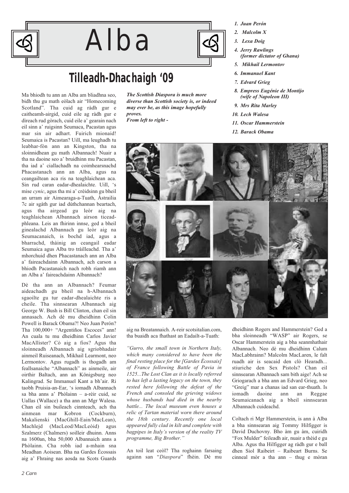

# Alba

# **Tilleadh-Dhachaigh '09**

Ma bhiodh tu ann an Alba am bliadhna seo, bidh thu gu math eòlach air "Homecoming Scotland". Tha cuid ag ràdh gur e caitheamh-airgid, cuid eile ag ràdh gur e dìreach rud gòrach, cuid eile a' gearain nach eil sinn a' ruigsinn Seumaca, Pacastan agus mar sin air adhart. Fuirich mionaid! Seumaica is Pacastan? Uill, ma leughadh tu leabhar-fòn ann an Kingston, tha na sloinnidhean gu math Albannach! Nuair a tha na daoine seo a' bruidhinn mu Pacastan, tha iad a' ciallachadh na coimhearsnachd Phacastanach ann an Alba, agus na ceangailtean aca ris na teaghlaichean aca. Sin rud caran eadar-dhealaichte. Uill, 's mise *cynic*, agus tha mi a' crèidsinn gu bheil an urram air Aimearaga-a-Tuath, Àstrailia 7c air sgàth gur iad dùthchannan beartach, agus tha airgead gu leòr aig na teaghlaichean Albannach airson ticeadphleana. Leis an fhirinn innse, ged a bheil ginealachd Albannach gu leòr aig na Seumacanaich, is bochd iad, agus a bharrachd, thàinig an ceangail eadar Seumaica agus Alba tro tràilleachd. Tha a' mhorchuid dhen Phacastanach ann an Alba a' faireachdainn Albannach, ach carson a bhiodh Pacastanaich nach robh riamh ann an Alba a' faireachdainn Albannach?

Dè tha ann an Albannach? Feumar aideachadh gu bheil na h-Albannach sgaoilte gu tur eadar-dhealaichte ris a cheile. Tha sinnsearan Albannach aig George W. Bush is Bill Clinton, chan eil sin annasach. Ach dè mu dheidhinn Colin Powell is Barack Obama?! Neo Juan Perón? Tha 100,000+ "Argentiños Escoces" ann! An cuala tu mu dheidhinn Carlos Javier MacAllister? Cò aig a fios? Agus tha sloinneadh Albannach aig sgriobhadair ainmeil Ruiseanach, Mikhail Learmont, neo Lermontov. Agus rugadh is thogadh am feallsanaiche "Albannach" as ainmeile, air oirthir Baltach, ann an Königsburg neo Kalingrad. Se Immanuel Kant a bh'air. Ri taobh Pruisia-an-Ear, 's iomadh Albannach sa bha anns a' Phòlainn – a-rèir cuid, se Uallas (Wallace) a tha ann an Mgr Walesa. Chan eil sin buileach cinnteach, ach tha ainmean mar Kobron (Cockburn), Makalienski (MacGhill-Eain/MacLean), Machlejd (MacLeod/MacLeòid) agus Szalmerz (Chalmers) soilleir dhuinn. Anns na 1600an, bha 50,000 Albannaich anns a Phòlainn. Cha robh iad a-mhain sna Meadhan Aoisean. Bha na Gardes Écossais aig a' Fhraing nas aosda na Scots Guards



*From left to right -*

- *1. Juan Perón*
- *2. Malcolm X*
- *3. Lexa Doig*
- *4. Jerry Rawlings (former dictator of Ghana)*
- *5. Mikhail Lermontov*
- *6. Immanuel Kant*
- *7. Edvard Grieg*
- *8. Empress Eugénie de Montijo (wife of Napoleon III)*
- *9. Mrs Rita Marley*
- *10. Lech Walesa*
- *11. Oscar Hammerstein*
- *12. Barack Obama*



aig na Breatannaich. A-reir scotsitalian.com, tha buaidh aca fhathast an Eadailt-a-Tuath:

*"Gurro, the small town in Northern Italy, which many considered to have been the final resting place for the [Gardes Écossais] of France following Battle of Pavia in 1525...The Lost Clan as it is locally referred to has left a lasting legacy on the town, they rested here following the defeat of the French and consoled the grieving widows whose husbands had died in the nearby battle... The local museum even houses a relic of Tartan material worn there around the 18th century. Recently one local appeared fully clad in kilt and complete with bagpipes in Italy's version of the reality TV programme, Big Brother."*

An toil leat ceòl? Tha roghainn farsaing againn san "*Diaspora*" fhèin. Dè mu dheidhinn Rogers and Hammerstein? Ged a bha sloinneadh "WASP" air Rogers, se Oscar Hammerstein aig a bha seanmhathair Albannach. Neo dè mu dheidhinn Calum MacLabhrainn? Malcolm MacLaren, le falt ruadh air is seacaid den clò Hearadh... stiuriche den Sex Pistols? Chan eil sinnsearan Albannach sam bith aige! Ach se Griogarach a bha ann an Edvard Grieg, neo "Greig" mar a chanas iad san ear-thuath. Is iomadh daoine ann an Reggae Seumaicanach aig a bheil sinnsearan Albannach cuideachd.

Coltach ri Mgr Hammerstein, is ann à Alba a bha sinnsearan aig Tommy Hilfigger is David Duchovny. Bho àm gu àm, cuiridh "Fox Mulder" feileadh air, nuair a thèid e gu Alba. Agus tha Hilfigger ag ràdh gur e ball dhen Siol Raibeirt – Raibeart Burns. Se cinneal mòr a tha ann – thug e mòran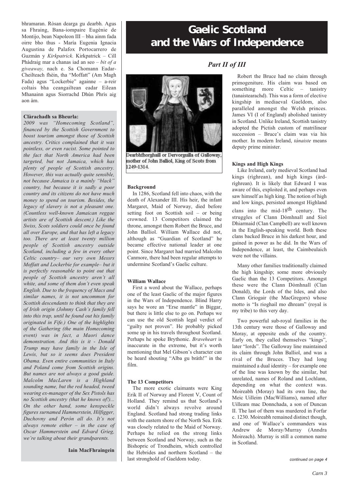bhramaran. Ròsan dearga gu dearbh. Agus sa Fhraing, Bana-iompaire Eugénie de Montijo, bean Napoleon III – bha ainm fada oirre bho thus - María Eugenia Ignacia Augustina de Palafox Portocarrero de Guzmán y *Kirkpatrick*. Kirkpatrick – Cill Phàdraig mar a chanas iad an seo – *bit of a giveaway,* nach e. Sa Chomann Eadar-Cheilteach fhèin, tha "Moffatt" (Am Magh Fada) agus "Lockerbie" againne – a-reir coltais bha ceangailtean eadar Eilean Mhanainn agus Siorrachd Dhùn Phrìs aig aon àm.

#### **Clàrachadh sa Bheurla:**

*2009 was "Homecoming Scotland", financed by the Scottish Government to boost tourism amongst those of Scottish ancestry. Critics complained that it was pointless, or even racist. Some pointed to the fact that North America had been targeted, but not Jamaica, which has plenty of people of Scottish ancestry. However, this was actually quite sensible, not because Jamaica is a mainly "black" country, but because it is sadly a poor country and its citizens do not have much money to spend on tourism. Besides, the legacy of slavery is not a pleasant one. (Countless well-known Jamaican reggae artists are of Scottish descent.) Like the Swiss, Scots soldiers could once be found all over Europe, and that has left a legacy too. There are at least twenty million people of Scottish ancestry outside Scotland, including a few in every other Celtic country– our very own Messrs Moffatt and Lockerbie for example– but it is perfectly reasonable to point out that people of Scottish ancestry aren't all white, and some of them don't even speak English. Due to the frequency of Macs and similar names, it is not uncommon for Scottish descendants to think that they are of Irish origin (Johnny Cash's family fell into this trap, until he found out his family originated in Fife.) One of the highlights of the Gathering (the main Homecoming event) was in fact, a Maori dance demonstration. And this is it - Donald Trump may have family in the Isle of Lewis, but so it seems does President Obama. Even entire communities in Italy and Poland come from Scottish origins. But names are not always a good guide. Malcolm MacLaren is a Highland sounding name, but the red headed, tweed wearing ex-manager of the Sex Pistols has no Scottish ancestry (that he knows of!)... On the other hand, some kenspeckle figures surnamed Hammerstein, Hilfigger, Duchovny and Perón all do. It's not always remote either – in the case of Oscar Hammerstein and Edvard Grieg, we're talking about their grandparents.*

#### **Iain MacFhraingein**

### **Gaelic Scotland and the Wars of Independence**



Dearbhfhorghaill or Dervorguilla of Galloway, mother of John Balliol, King of Scots from 1249-1314

#### **Background**

In 1286, Scotland fell into chaos, with the death of Alexander III. His heir, the infant Margaret, Maid of Norway, died before setting foot on Scottish soil – or being crowned. 13 Competitors claimed the throne, amongst them Robert the Bruce, and John Balliol. William Wallace did not, although as "Guardian of Scotland" he became effective national leader at one point. Since Margaret had married Malcolm Canmore, there had been regular attempts to undermine Scotland's Gaelic culture.

#### **William Wallace**

First a word about the Wallace, perhaps one of the least Gaelic of the major figures in the Wars of Independence. Blind Harry says he wore an "Erse mantle" in Biggar, but there is little else to go on. Perhaps we can use the old Scottish legal verdict of "guilty not proven". He probably picked some up in his travels throughout Scotland. Perhaps he spoke Brythonic. *Braveheart* is inaccurate in the extreme, but it's worth mentioning that Mel Gibson's character can be heard shouting "Alba gu bràth!" in the film.

### **The 13 Competitors**

The more exotic claimants were King Erik II of Norway and Florent V, Count of Holland. They remind us that Scotland's world didn't always revolve around England. Scotland had strong trading links with the eastern shore of the North Sea. Erik was closely related to the Maid of Norway. Perhaps he relied on the strong links between Scotland and Norway, such as the Bishopric of Trondheim, which controlled the Hebrides and northern Scotland – the last stronghold of Gaeldom today.

### *Part II of III*

Robert the Bruce had no claim through primogeniture. His claim was based on something more Celtic – tanistry (tanaistearachd). This was a form of elective kingship in mediaeval Gaeldom, also paralleled amongst the Welsh princes. James VI (I of England) abolished tanistry in Scotland. Unlike Ireland, Scottish tanistry adopted the Pictish custom of matrilinear succession – Bruce's claim was via his mother. In modern Ireland, *tánaiste* means deputy prime minister.

### **Kings and High Kings**

Like Ireland, early medieval Scotland had kings (rìghrean), and high kings (àrdrìghrean). It is likely that Edward I was aware of this, exploited it, and perhaps even saw himself as high king. The notion of high and low kings, persisted amongst Highland clans into the mid-18<sup>th</sup> century. The struggles of Clann Dòmhnall and Siol Dhiarmaid (Clan Campbell) are well known in the English-speaking world. Both these clans backed Bruce in his darkest hour, and gained in power as he did. In the Wars of Independence, at least, the Caimbeulaich were not the villains.

Many other families traditionally claimed the high kingship; some more obviously Gaelic than the 13 Competitors. Amongst these were the Clann Dòmhnall (Clan Donald), the Lords of the Isles, and also Clann Griogair (the MacGregors) whose motto is "Is rioghail mo dhream" (royal is my tribe) to this very day.

Two powerful sub-royal families in the 13th century were those of Galloway and Moray, at opposite ends of the country. Early on, they called themselves "kings", later "lords". The Galloway line maintained its claim through John Balliol, and was a rival of the Bruces. They had long maintained a dual identity – for example one of the line was known by the similar, but unrelated, names of Roland and Lochlann, depending on what the context was. Moireabh (Moray) had its own line, the Meic Uilleim (MacWilliams), named after Uilleam mac Donnchada, a son of Duncan II. The last of them was murdered in Forfar c. 1230. Moireabh remained distinct though, and one of Wallace's commanders was Andrew de Moray/Murray (Anndra Moireach). Murray is still a common name in Scotland.

*continued on page 4*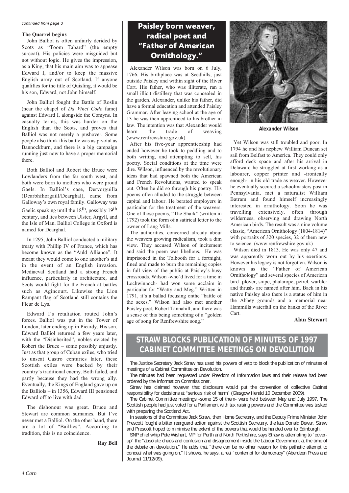#### *continued from page 3*

#### **The Quarrel begins**

John Balliol is often unfairly derided by Scots as "Toom Tabard" (the empty surcoat). His policies were misguided but not without logic. He gives the impression, as a King, that his main aim was to appease Edward I, and/or to keep the massive English army out of Scotland. If anyone qualifies for the title of Quisling, it would be his son, Edward, not John himself.

John Balliol fought the Battle of Roslin (near the chapel of *Da Vinci Code* fame) against Edward I, alongside the Comyns. In casualty terms, this was harder on the English than the Scots, and proves that Balliol was not merely a pushover. Some people also think this battle was as pivotal as Bannockburn, and there is a big campaign running just now to have a proper memorial there.

Both Balliol and Robert the Bruce were Lowlanders from the far south west, and both were born to mothers who were proud Gaels. In Balliol's case, Dervorguilla (Dearbhfhorgaill/Dearghal), came from Galloway's own royal family. Galloway was Gaelic speaking until the 18<sup>th</sup>, possibly 19<sup>th</sup> century, and lies between Ulster, Argyll, and the Isle of Man. Balliol College in Oxford is named for Dearghal.

In 1295, John Balliol conducted a military treaty with Phillip IV of France, which has become known as the "Auld Alliance". It meant they would come to one another's aid in the event of an English invasion. Mediaeval Scotland had a strong French influence, particularly in architecture, and Scots would fight for the French at battles such as Agincourt. Likewise the Lion Rampant flag of Scotland still contains the Fleur de Lys.

Edward I's retaliation routed John's forces. Balliol was put in the Tower of London, later ending up in Picardy. His son, Edward Balliol returned a few years later, with the "Disinherited", nobles evicted by Robert the Bruce – some possibly unjustly. Just as that group of Cuban exiles, who tried to unseat Castro centuries later, these Scottish exiles were backed by their country's traditional enemy. Both failed, and partly because they had the wrong ally. Eventually, the Kings of England gave up on the Balliols – in 1356, Edward III pensioned Edward off to live with dad.

The dishonour was great. Bruce and Stewart are common surnames. But I've never met a Balliol. On the other hand, there are a lot of "Baillies". According to tradition, this is no coincidence.

**Ray Bell** 

### **Paisley born weaver, radical poet and "Father of American Ornithology."**

Alexander Wilson was born on 6 July, 1766. His birthplace was at Seedhills, just outside Paisley and within sight of the River Cart. His father, who was illiterate, ran a small illicit distillery that was concealed in the garden. Alexander, unlike his father, did have a formal education and attended Paisley Grammar. After leaving school at the age of 13 he was then apprenticed to his brother in law. The intention was that Alexander would<br>learn the trade of weaving weaving (www.renfrewshire.gov.uk).

After his five-year apprenticeship had ended however he took to peddling and to both writing, and attempting to sell, his poetry. Social conditions at the time were dire. Wilson, influenced by the revolutionary ideas that had spawned both the American and French Revolutions, wanted to speak out. Often he did so through his poetry. His poems often alluded to the struggle between capital and labour. He berated employers in particular for the treatment of the weavers. One of those poems, "The Shark" (written in 1792) took the form of a satirical letter to the owner of Lang Mills.

The authorities, concerned already about the weavers growing radicalism, took a dim view. They accused Wilson of incitement and said the poem was libellous. He was imprisoned in the Tolbooth for a fortnight, fined and made to burn the remaining copies in full view of the public at Paisley's busy crossroads. Wilson -who'd lived for a time in Lochwinnoch- had won some acclaim in particular for "Watty and Meg." Written in 1791, it's a ballad focusing onthe "battle of the sexes." Wilson had also met another Paisley poet, Robert Tannahill, and there was a sense of this being something of a "golden age of song for Renfrewshire song."



*Alexander Wilson*

Yet Wilson was still troubled and poor. In 1794 he and his nephew William Duncan set sail from Belfast to America. They could only afford deck space and after his arrival in Delaware he struggled at first working as a labourer, copper printer and -ironically enough- in his old trade as weaver. However he eventually secured a schoolmasters post in Pennsylvania, met a naturalist William Batram and found himself increasingly interested in ornithology. Soon he was travelling extensively, often through wilderness, observing and drawing North American birds. The result was a nine volume classic, "American Ornithology (1804-1814)" with portraits of 320 species, 32 of them new to science. (www.renfrewshire.gov.uk)

Wilson died in 1813. He was only 47 and was apparently worn out by his exertions. However his legacy is not forgotten. Wilson is known as the "Father of American Ornithology" and several species of American bird -plover, snipe, phalarope, petrel, warbler and thrush- are named after him. Back in his native Paisley also there is a statue of him in the Abbey grounds and a memorial near Hammills waterfall on the banks of the River Cart.

#### **Alan Stewart**

### **STRAW BLOCKS PUBLICATION OF MINUTES OF 1997 CABINET COMMITTEE MEETINGS ON DEVOLUTION**

The Justice Secretary Jack Straw has used his powers of veto to block the publication of minutes of meetings of a Cabinet Committee on Devolution.

The minutes had been requested under Freedom of Information laws and their release had been ordered by the Information Commissioner.

Straw has claimed however that disclosure would put the convention of collective Cabinet responsibility for decisions at "serious risk of harm" (Glasgow Herald 10 December 2009).

The Cabinet Committee meetings -some 15 of them- were held between May and July 1997. The Scottish people had just voted for a Parliament with tax raising powers and the Committee was tasked with preparing the Scotland Act.

In sessions of the Committee Jack Straw, then Home Secretary, and the Deputy Prime Minister John Prescott fought a bitter rearguard action against the Scottish Secretary, the late Donald Dewar. Straw and Prescott hoped to minimise the extent of the powers that would be handed over to Edinburgh.

SNP chief whip Pete Wishart, MP for Perth and North Perthshire, says Straw is attempting to "coverup" the "absolute chaos and confusion and disagreement inside the Labour Government at the time of the debate on devolution." He adds that "there can be no other reason for this pathetic attempt to conceal what was going on." It shows, he says, a real "contempt for democracy" (Aberdeen Press and Journal 11/12/09).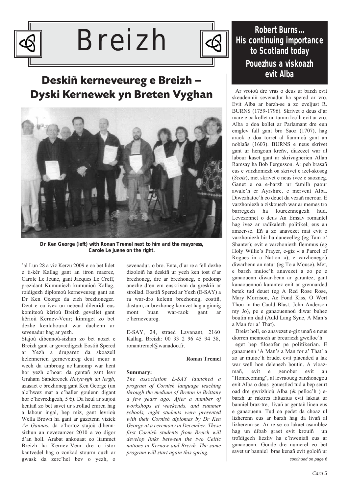

# Breizh



## **Deskiñ kerneveureg e Breizh – Dyski Kernewek yn Breten Vyghan**



*Dr Ken George (left) with Ronan Tremel next to him and the mayoress, Carole Le Juene on the right.* 

'al Lun 28 a viz Kerzu 2009 e oa bet lidet e ti-kêr Kallag gant an itron maerez, Carole Le Jeune, gant Jacques Le Creff, prezidant Kumuniezh kumunioù Kallag, roidigezh diplomoù kerneveureg gant an Dr Ken George da eizh brezhoneger. Deut e oa ivez un nebeud dileuridi eus komiteoù kêrioù Breizh gevellet gant kêrioù Kernev-Veur; kinniget zo bet dezhe kenlabourat war dachenn ar sevenadur hag ar yezh.

Stajoù dibennoù-sizhun zo bet aozet e Breizh gant ar gevredigezh Eostiñ Spered ar Yezh a drugarez da skoazell kelennerien gerneveureg deut meur a wech da ambroug ac'hanomp war hent hor yezh c'hoar: da gentañ gant levr Graham Sandercock *Holyewgh an lergh*, azasaet e brezhoneg gant Ken George (un alc'hwez mat a c'haller goulenn digant hor c'hevredigezh, 5 €). Da heul ar stajoù kentañ zo bet savet ur strollad emren hag a labour ingal, bep miz, gant levrioù Wella Brown ha gant ar gazetenn viziek *An Gannas*, da c'hortoz stajoù dibennsizhun an nevezamzer 2010 a vo digor d'an holl. Arabat ankouaat eo liammet Breizh ha Kernev-Veur dre o istor kantvedel hag o zonkad stourm ouzh ar gwask da zerc'hel bev o yezh, o

sevenadur, o bro. Enta, d'ar re a fell dezhe dizoloiñ ha deskiñ ur yezh ken tost d'ar brezhoneg, dre ar brezhoneg, e pedomp anezhe d'en em enskrivañ da greskiñ ar strollad. Eostiñ Spered ar Yezh (E-SAY) a ra war-dro kelenn brezhoneg, eostiñ, dastum, ar brezhoneg komzet hag a ginnig mont buan war-raok gant ar c'herneveureg.

E-SAY, 24, straed Lavanant, 2160 Kallag, Breizh: 00 33 2 96 45 94 38, ronantremel@wanadoo.fr.

### **Ronan Tremel**

### **Summary:**

*The association E-SAY launched a program of Cornish language teaching through the medium of Breton in Brittany a few years ago. After a number of workshops at weekends, and summer schools, eight students were presented with their Cornish diplomas by Dr Ken George at a ceremony in December. These first Cornish students from Breizh will develop links between the two Celtic nations in Kernow and Breizh. The same program will start again this spring.*

### **Robert Burns... His continuing importance to Scotland today Pouezhus a viskoazh evit Alba**

Ar vroioù dre vras o deus ur barzh evit skeudenniñ sevenadur ha spered ar vro. Evit Alba ar barzh-se a zo eveljust R. BURNS (1759-1796). Skrivet o deus d'ar mare e oa kollet un tamm loc'h evit ar vro. Alba o doa kollet ar Parlamant dre eun emglev fall gant bro Saoz (1707), hag araok o doa torret al liammoù gant an noblañs (1603). BURNS e neus skrivet gant ur hengoun kreñv, diazezet war al labour kaset gant ar skrivagnerien Allan Ramsay ha Bob Fergusson. Ar peb brasañ eus e varzhoniezh oa skrivet e izel-skoseg (*Scots*), met skrivet e neus ivez e saozneg. Ganet e oa e-barzh ur familh paour awalc'h er Ayrshire, e mervent Alba. Diwezhatoc'h eo deuet da vezañ merour. E varzhoniezh a ziskouezh war ar memes tro barregezh ha loureznnegezh hud. Levezonnet o deus An Emsav romantel hag ivez ar radikalezh politikel, eus an amzer-se. Eñ a zo anavezet mat evit e varzhoniezh hir ha danevelleg (eg Tam o' Shanter); evit e varzhoniezh flemmus (eg Holy Willie's Prayer, e-giz « a Parcel of Rogues in a Nation »); e varzhonegoù diwarbenn an natur (eg To a Mouse). Met, e barzh muioc'h anavezet a zo pe e ganaouenn diwar-benn ar garantez, gant kanaouennoù karantez evit ar grennarded betek tud deuet (eg A Red Rose Rose, Mary Morrison, Ae Fond Kiss, O Wert Thou in the Cauld Blast, John Anderson my Jo), pe e ganaouennoù diwar buhez boutin an dud (Auld Lang Syne, A Man's a Man for a' That).

Dreist holl, eo anavezet e-giz unañ e neus diorren mennozh ar breuriezh gwelloc'h

eget bep filosofer pe politikerian. E ganaouenn 'A Man's a Man for a' That' a zo ar muioc'h brudet evit plaended a lak war well hon delenezh boutin. A vloazmañ, evit e genober evit an "Homecoming", al levraoueg barzhonegoù evit Alba o deus gouestled tud a bep seurt oad dre gwrizhioù Alba (& pelloc'h ) ebarzh ur raktres faltazius evit lakaat ur banniel braz-tre, livañ ar gentañ linen eus e ganaouenn. Tud oa pedet da choaz ul lizherenn eus ar barzh hag da livañ al lizherenn-se. Ar re se oa lakaet asamblez hag un dibab graet evit krouiñ un troïdigezh liezliv ha c'hweniañ eus ar ganaouenn. Goude dre numerel eo bet savet ur banniel bras kenañ evit goloiñ ur *continued on page 6*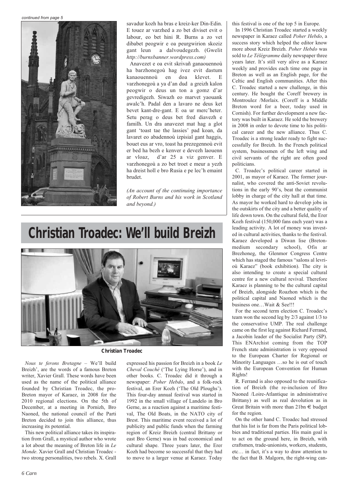*continued from page 5*



savadur kozh ha bras e kreiz-ker Din-Edin. E touez ar varzhed a zo bet diviset evit o labour, eo bet hini R. Burns a zo vet dibabet peogwir e oa peurgwirion skoziz gant leun a dalvoudegezh. (Gwelit *http://burnsbanner.wordpress.com)*

Anavezet e oa evit skrivañ ganaouennoù ha barzhonegoù hag ivez evit dastum kanaouennoù en doa klevet. E varzhonegoù a ya d'an dud a greizh kalon peogwir o deus un ton a gomz d'ar gevredigezh. Siwazh eo marvet yaouank awalc'h. Padal den a lavaro ne deus ket bevet kant-dre-gant. E oa ur merc'heter. Setu perag o deus bet fred diavezh e familh. Un dra anavezet mat hag a glot gant 'toast tae the lassies' pad koan, da lavaret eo abadennoù izpisial gant haggis, bouet eus ar vro, toast ha prezegennoù evit er bed ha bezh e kenver e devezh laouenn ar vloaz, d'ar 25 a viz genver. E varzhonegoù a zo bet troet e meur a yezh ha dreist holl e bro Rusia e pe lec'h emaint brudet.

*(An account of the continuing importance of Robert Burns and his work in Scotland and beyond.)*

# **Christian Troadec: We'll build Breizh**



*Christian Troadec*

*Nous te ferons Bretagne* – We'll build Breizh', are the words of a famous Breton writer, Xavier Grall. These words have been used as the name of the political alliance founded by Christian Troadec, the pro-Breton mayor of Karaez, in 2008 for the 2010 regional elections. On the 5th of December, at a meeting in Pornizh, Bro Naoned, the national council of the Parti Breton decided to join this alliance, thus increasing its potential.

This new political alliance takes its inspiration from Grall, a mystical author who wrote a lot about the meaning of Breton life in *Le Monde*. Xavier Grall and Christian Troadec two strong personalities, two rebels. X. Grall

expressed his passion for Breizh in a book *Le Cheval Couché* ('The Lying Horse'), and in other books. C. Troadec did it through a newspaper: *Poher Hebdo*, and a folk-rock festival, an Erer Kozh ('The Old Ploughs'). This four-day annual festival was started in 1992 in the small village of Landelo in Bro Gerne, as a reaction against a maritime festival, The Old Boats, in the NATO city of Brest. This maritime event received a lot of publicity and public funds when the farming region of Kreiz Breizh (central Brittany or east Bro Gerne) was in bad economical and cultural shape. Three years later, the Erer Kozh had become so successful that they had to move to a larger venue at Karaez. Today

this festival is one of the top 5 in Europe.

In 1996 Christian Troadec started a weekly newspaper in Karaez called *Poher Hebdo*, a success story which helped the editor know more about Kreiz Breizh. *Poher Hebdo* was sold to *Le Télégramme* daily newspaper three years later. It's still very alive as a Karaez weekly and provides each time one page in Breton as well as an English page, for the Celtic and English communities. After this C. Troadec started a new challenge, in this century. He bought the Coreff brewery in Montroulez /Morlaix. (Coreff is a Middle Breton word for a beer, today used in Cornish). For further development a new factory was built in Karaez. He sold the brewery in 2008 in order to devote time to his political career and the new alliance. Thus C. Troadec is a strong leader ready to fight successfully for Breizh. In the French political system, businessmen of the left wing and civil servants of the right are often good politicians.

C. Troadec's political career started in 2001, as mayor of Karaez. The former journalist, who covered the anti-Soviet revolutions in the early 90's, beat the communist lobby in charge of the city hall at that time. As mayor he worked hard to develop jobs in the outskirts of the city and a better quality of life down town. On the cultural field, the Erer Kozh festival (150,000 fans each year) was a leading activity. A lot of money was invested in cultural activities, thanks to the festival. Karaez developed a Diwan lise (Bretonmedium secondary school), Ofis ar Brezhoneg, the Glenmor Congress Centre which has staged the famous "salons al levrioù Karaez" (book exhibition). The city is also intending to create a special cultural centre for a new cultural revival. Therefore Karaez is planning to be the cultural capital of Breizh, alongside Roazhon which is the political capital and Naoned which is the business one…Wait & See!!!

For the second term election C. Troadec's team won the second leg by 2/3 against 1/3 to the conservative UMP. The real challenge came on the first leg against Richard Ferrand, a Jacobin leader of the Socialist Party (SP). This ENArchist coming from the TOP French state administration is very opposed to the European Charter for Regional or Minority Languages …so he is out of touch with the European Convention for Human Rights!

R. Ferrand is also opposed to the reunification of Breizh (the re-inclusion of Bro Naoned /Loire-Atlantique in administrative Brittany) as well as real devolution as in Great Britain with more than 21bn € budget for the region.

On the other hand C. Troadec had stressed that his list is far from the Paris political lobbies and traditional parties. His main goal is to act on the ground here, in Breizh, with craftsmen, trade-unionists, workers, students, etc… in fact, it's a way to draw attention to the fact that B. Malgorn, the right-wing can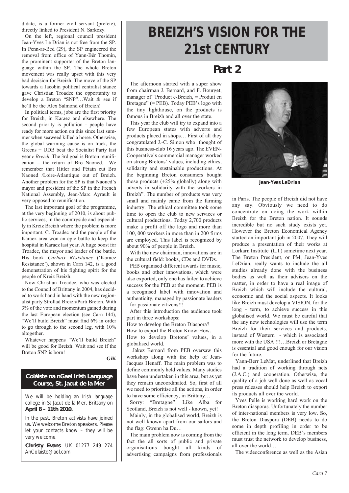didate, is a former civil servant (prefete), directly linked to President N. Sarkozy.

On the left, regional council president Jean-Yves Le Drian is not free from the SP. In Penn-ar-Bed (29), the SP engineered the removal from office of Yann-Bêr Thomin, the prominent supporter of the Breton language within the SP. The whole Breton movement was really upset with this very bad decision for Breizh. The move of the SP towards a Jacobin political centralist stance gave Christian Troadec the opportunity to develop a Breton "SNP"…Wait & see if he'll be the Alex Salmond of Breizh!

In political terms, jobs are the first priority for Breizh, in Karaez and elsewhere. The second priority is pollution - people have ready for more action on this since last summer when seaweed killed a horse. Otherwise, the global warming cause is on track, the Greens + UDB beat the Socialist Party last year *e Breizh*. The 3rd goal is Breton reunification – the return of Bro Naoned. We remember that Hitler and Pétain cut Bro Naoned /Loire-Atlantique out of Breizh. Another problem for the SP is that Naoned's mayor and president of the SP in the French National Assembly, Jean-Marc Ayrault is very opposed to reunification.

The last important goal of the programme, at the very beginning of 2010, is about public services, in the countryside and especially in Kreiz Breizh where the problem is more important. C. Troadec and the people of the Karaez area won an epic battle to keep the hospital in Karaez last year. A huge boost for Troadec, the mayor and leader of the battle. His book *Carhaix Résistance* ('Karaez Resistance'), shown in Carn 142, is a good demonstration of his fighting spirit for the people of Kreiz Breizh.

Now Christian Troadec, who was elected to the Council of Brittany in 2004, has decided to work hand in hand with the new regionalist party Strollad Breizh/Parti Breton. With 3% of the vote and momentum gained during the last European election (see Carn 144), "We'll build Breizh" must find 6% in order to go through to the second leg, with 10% altogether.

Whatever happens "We'll build Breizh" will be good for Breizh. Wait and see if the Breton SNP is born!

**GiK**

### **Coláiste na nGael Irish Language Course, St. Jacut de la Mer**

We will be holding an Irish language college in St Jacut de la Mer, Brittany on **April 8 – 11th 2010.**

In the past, Breton activists have joined us. We welcome Breton speakers. Please let your contacts know – they will be very welcome.

**Christy Evans**. UK 01277 249 274 AnColaiste@aol.com

# **BREIZH'S VISION FOR THE 21st CENTURY**

### **Part 2**

The afternoon started with a super show from chairman J. Bernard, and F. Bourget, manager of "Produet e-Breizh, = Produit en Bretagne" (= PEB). Today PEB's logo with the tiny lighthouse, on the products is famous in Breizh and all over the state.

This year the club will try to expand into a few European states with adverts and products placed in shops… First of all they congratulated J.-C. Simon who thought of this business-club 16 years ago. The EVEN-Cooperative's commercial manager worked on strong Bretons' values, including ethics, solidarity and sustainable productions. At the beginning Breton consumers bought those products (+25% globally) along with adverts in solidarity with the workers in Breizh". The number of products was very small and mainly came from the farming industry. The ethical committee took some time to open the club to new services or cultural productions. Today 2,700 products make a profit off the logo and more than 100, 000 workers in more than in 200 firms are employed. This label is recognized by about 90% of people in Breizh.

With the new chairman, innovations are in the cultural field: books, CDs and DVDs.

PEB organised different awards for music, books and other innovations, which were also exported, only one has failed to achieve success for the PEB at the moment. PEB is a recognised label with innovation and authenticity, managed by passionate leaders - for passionate citizens!!!

After this introduction the audience took part in three workshops:

How to develop the Breton Diaspora?

How to export the Breton Know-How.

How to develop Bretons' values, in a globalised world.

Jakez Bernard from PEB oversaw this workshop along with the help of Jean-Jacques Henaff. The main problem was to define commonly held values. Many studies have been undertaken in this area, but as yet they remain uncoordinated. So, first of all we need to prioritise all the actions, in order to have some efficiency, in Brittany…

Sorry: "Bretagne". Like Alba for Scotland, Breizh is not well - known, yet!

Mainly, in the globalised world, Breizh is not well known apart from our sailors and the flag: Gwenn ha Du…

The main problem now is coming from the fact the all sorts of public and private organisations bought all kinds of advertising campaigns from professionals



*Jean-Yves LeDrian*

in Paris. The people of Breizh did not have any say. Obviously we need to do concentrate on doing the work within Breizh for the Breton nation. It sounds incredible but no such study exists yet. However the Breton Economical Agency started an important job in 2007. They will produce a presentation of their works at Lorkarn Institute (L.I.) sometime next year. The Breton President, or PM, Jean-Yves LeDrian, really wants to include the all studies already done with the business bodies as well as their advisers on the matter, in order to have a real image of Breizh which will include the cultural, economic and the social aspects. It looks like Breizh must develop a VISION, for the long - term, to achieve success in this globalised world. We must be careful that the any new technologies will use the term Breizh for their services and products, instead of Western - which is associated more with the USA !!!…Breizh or Bretagne is essential and good enough for our vision for the future.

Yann-Berr LeMat, underlined that Breizh had a tradition of working through nets (J.A.C.) and cooperation. Otherwise, the quality of a job well done as well as vocal press releases should help Breizh to export its products all over the world.

Yves Pelle is working hard work on the Breton diasporas. Unfortunately the number of inter-national members is very low. So, the Breton Diaspora (DEB) needs to do some in depth profiling in order to be efficient in the long term. DEB's members must trust the network to develop business, all over the world…

The videoconference as well as the Asian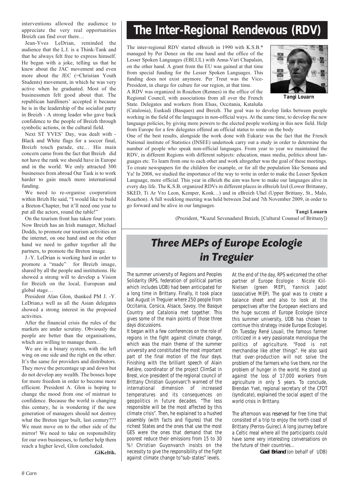interventions allowed the audience to appreciate the very real opportunities Breizh can find over there…

Jean-Yves LeDrian, reminded the audience that the L.I. is a Think-Tank and that he always felt free to express himself. He began with a joke, telling us that he knew about the JAC movement and even more about the JEC (=Christian Youth Students) movement, in which he was very active when he graduated. Most of the businessmen felt good about that. The republican hardliners' accepted it because he is in the leadership of the socialist party in Breizh - A strong leader who gave back confidence to the people of Breizh through symbolic actions, in the cultural field.

Next ST YVES' Day, was dealt with - Black and White flags for a soccer final, Breizh touch parade, etc… His main concern came from the fact that Breizh did not have the rank we should have in Europe and in the world. We only attracted 300 businesses from abroad Our Task is to work harder to gain much more international funding.

We need to re-organise cooperation within Brizh He said, "I would like to build a Breton-Chapter, but it'll need one year to put all the actors, round the table!"

On the tourism front has taken four years. Now Breizh has an Irish manager, Michael Dodds, to promote our tourism activities on the internet, on one hand and on rhe other hand we need to gather together all the partners, to promote the Breton image.

J.-Y. LeDrian is working hard in order to promote a "made" for Breizh image, shared by all the people and institutions. He showed a strong will to develop a Vision for Breizh on the local, European and global stage…

President Alan Glon, thanked PM J. -Y. LeDrian,s well as all the Asian delegates showed a strong interest in the proposed activities.

After the financial crisis the rules of the markets are under scrutiny. Obviously the people are better than the organisations, which are willing to manage them...

We are in a binary system, with the left wing on one side and the right on the other. It's the same for providers and distributors. They move the percentage up and down but do not develop any wealth. The bosses hope for more freedom in order to become more efficient. President A. Glon is hoping to change the mood from one of mistrust to confidence. Because the world is changing this century, he is wondering if the new generation of managers should not destroy what the Breton tiger built, last century??? We must move on to the other side of the mirror! We need to take on responsibility for our own businesses, to further help them reach a higher level, Glon concluded.

.**GiKeltik.**

# **The Inter-Regional Rendevous (RDV)**

The inter-regional RDV started eBreizh in 1990 with K.S.B.\* managed by Per Denez on the one hand and the office of the Lesser Spoken Languages (EBLUL) with Anna-Vari Chapalain, on the other hand. A grant from the EU was gained at that time from special funding for the Lesser Spoken Languages. This funding does not exist anymore. Per Treut was the Vice-President, in charge for culture for our region, at that time.

A RDV was organized in Roazhon (Rennes) in the office of the Regional Council, with associations from all over the French State. Delegates and workers from Elsas, Occitania, Kataluña



*Tangi Louarn*

(Catalonia), Euskadi (Basques) and Breizh. The goal was to develop links between people working in the field of the languages in non-official ways. At the same time, to develop the new language policies, by giving more powers to the elected people working in this new field. Help from Europe for a few delegates offered an official status to some on the body

One of the best results, alongside the work done with Eukariz was the fact that the French National institute of Statistics (INSEE) undertook carry out a study in order to determine the number of people who speak non-official languages. From year to year we maintained the RDV, in different Regions with different subjects: education, mass media, politics about languages etc. To learn from one to each other and work altogether was the goal of these meetings. To create newspapers for the children for example, or for all the population like Semana and Ya! In 2008, we studied the importance of the way to write in order to make the Lesser Spoken Language, more official. This year in eBeizh the aim was how to make our languages alive in every day life. The K.S.B. organized RDVs in different places in eBreizh Izel (Lower Brittanny, SKED, Ti Ar Vro Leon, Kemper, Konk…) and in eBreizh Uhel (Upper Brittany, St., Malo, Roazhon). A full weeklong meeting was held between 2nd and 7th November 2009, in order to go forward and be alive in our languages.

**Tangi Louarn**

(Prezident, \*Kuzul Sevenadurel Breizh, [Cultural Counsel of Brittany])

## Three MEPs of Europe Ecologie in Treguier

The summer university of Regions and Peoples Solidarity (RPS, federation of political parties which includes UDB) had been anticipated for a long time in Brittany. Finally, it took place last August in Treguier where 250 people from Occitania, Corsica, Alsace, Savoy, the Basque Country and Catalonia met together. This gives some of the main points of those three days discussions.

It began with a few conferences on the role of regions in the fight against climate change, which was the main theme of the summer university and constituted the most important part of the final motion of the four days. Finishing with the brilliant speech of Alain Retière, coordinator of the project ClimSat in Brest, vice-president of the regional council of Brittany Christian Guyonvarc'h warned of the international dimension of increased temperatures and its consequences on geopolitics in future decades. "The less responsible will be the most affected by this climate crisis". Then, he explained to a hushed assembly (with facts and figures) that the richest States and the ones that use the most GES were the ones that demand that the poorest reduce their emissions from 15 to 30 %! Christian Guyonvarch insists on the necessity to give the responsibility of the fight against climate change to"sub-states" levels.

At the end of the day, RPS welcomed the other partner of Europe Ecologie : Nicole Kiil-Nielsen (green MEP), Yannick Jadot (associative MEP). The goal was to create a balance sheet and also to look at the perspectives after the European elections and the huge success of Europe Ecologie (since this summer university, UDB has chosen to continue this strategy inside Europe Ecologie). On Tuesday René Louail, the famous farmer criticized in a very passionate monologue the politics of agriculture. "Food is not merchandise like other things". He also said that over-production will not solve the problem of the farmers who live there, nor the problem of hunger in the world. He stood up against the loss of 17,000 workers from agriculture in only 5 years. To conclude, Brendan Yvet, regional secretary of the CFDT (syndicate), explained the social aspect of the world crisis in Brittany.

The afternoon was reserved for free time that consisted of a trip to enjoy the north coast of Brittany (Perros-Guirec). A long journey before a Celtic meal where all the participants could have some very interesting conversations on the future of their countries…

**Gael Briand** (on behalf of UDB)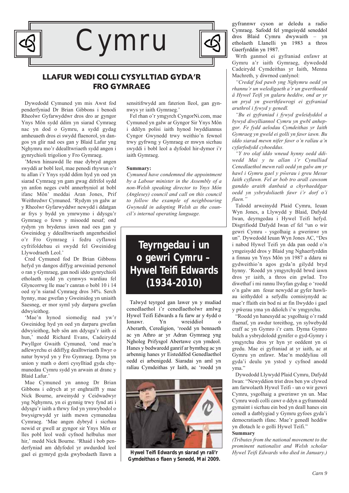

### **LLAFUR WEDI COLLI CYSYLLTIAD GYDA'R FRO GYMRAEG**

Dywedodd Cymuned ym mis Awst fod penderfyniad Dr Brian Gibbons i benodi Rheolwr Gyfarwyddwr dros dro ar gyngor Ynys Môn sydd ddim yn siarad Cymraeg nac yn dod o Gymru, a sydd gydag amheuaeth dros ei swydd flaenorol, yn dangos yn glir nad oes gan y Blaid Lafur yng Nghymru mo'r ddealltwriaeth sydd angen i gynrychioli trigolion y Fro Gymraeg.

'Mewn hinsawdd lle mae dybryd angen swyddi ar bobl leol, mae penodi rhywun o'r tu allan i'r Ynys sydd ddim hyd yn oed yn siarad Cymraeg yn gam gwag difrifol sydd yn anfon neges cwbl annerbyniol at bobl ifanc Môn' meddai Aran Jones, Prif Weithredwr Cymuned. 'Rydym yn galw ar y Rheolwr Gyfarwyddwr newydd i ddatgan ar frys y bydd yn ymrwymo i ddysgu'r Gymraeg o fewn y misoedd nesaf; ond rydym yn bryderus iawn nad oes gan y Gweinidog y ddealltwriaeth angenrheidiol o'r Fro Gymraeg i fedru cyflawni cyfrifoldebau ei swydd fel Gweinidog Llywodraeth Leol.'

Cred Cymuned fod Dr Brian Gibbons hefyd yn dangos diffyg arweiniad personol o ran y Gymraeg, gan nodi iddo gynrychioli etholaeth sydd yn cynnwys wardiau fel Glyncorrwg lle mae'r canran o bobl 10 i 14 oed sy'n siarad Cymraeg dros 34%. Serch hynny, mae gwefan y Gweinidog yn uniaith Saesneg, er mor syml ydy darparu gwefan ddwyieithog.

'Mae'n hynod siomedig nad yw'r Gweinidog hyd yn oed yn darparu gwefan ddwyieithog, heb sôn am ddysgu'r iaith ei hun,' medd Richard Evans, Cadeirydd Pwyllgor Gwaith Cymuned, 'ond mae'n adlewyrchu ei ddiffyg dealltwriaeth llwyr o natur bywyd yn y Fro Gymraeg. Dyma yn union y math o dorri cysylltiad gyda chymunedau Cymru sydd yn arwain at dranc y Blaid Lafur.'

Mae Cymuned yn annog Dr Brian Gibbons i edrych at yr enghraifft y mae Nick Bourne, arweinydd y Ceidwadwyr yng Nghymru, yn ei gynnig trwy fynd ati i ddysgu'r iaith a thrwy fod yn ymwybodol o bwysigrwydd yr iaith mewn cymunedau Cymraeg. 'Mae angen dybryd i sicrhau newid er gwell ar gyngor sir Ynys Môn er lles pobl leol wedi cyfnod helbulus mor hir,' medd Nick Bourne. 'Rhaid i bob penderfyniad am ddyfodol yr awdurdod leol gael ei gymryd gyda gwybodaeth llawn a

sensitifrwydd am faterion lleol, gan gynnwys yr iaith Gymraeg.'

Fel rhan o'r ymgyrch CyngorNi.com, mae Cymuned yn galw ar Gyngor Sir Ynys Môn i ddilyn polisi iaith hynod lwyddiannus Cyngor Gwynedd trwy weithio'n fewnol trwy gyfrwng y Gymraeg er mwyn sicrhau swyddi i bobl leol a dyfodol hir-dymor i'r iaith Gymraeg.

#### **Summary:**

*Cymuned have condemned the appointment by a Labour minister in the Assembly of a non-Welsh speaking director to Ynys Môn (Anglesey) council and call on this council to follow the example of neighbouring Gwynedd in adopting Welsh as the council's internal operating language.*

### **Teyrngedau i un o gewri Cymru – Hywel Teifi Edwards (1934-2010)**

Talwyd teyrged gan lawer yn y mudiad cenedlaethol i'r cenedlaetholwr amlwg Hywel Teifi Edwards a fu farw ar y 4ydd o Ionawr. Yn wreiddiol Aberarth, Ceredigion, 'roedd yn bennaeth ac yn Athro ar yr Adran Gymraeg yng Ngholeg Prifysgol Abertawe cyn ymdeol. Hanes y bedwaredd ganrif ar bymtheg ac yn arbennig hanes yr Eisteddfod Genedlaethol oedd ei arbenigedd. Siaradai yn aml yn ralïau Cymdeithas yr Iaith, ac 'roedd yn



*Gymdeithas o flaen y Senedd, Mai 2009.*

gyfrannwr cyson ar deledu a radio Cymraeg. Safodd fel ymgeisydd seneddol dros Blaid Cymru dwywaith – yn etholaeth Llanelli yn 1983 a thros Gaerfyrddin yn 1987.

Wrth ganmol ei gyfraniad enfawr at Gymru a'r iaith Gymraeg, dywedodd Cadeirydd Cymdeithas yr Iaith, Menna Machreth, y diwrnod canlynol:

*"Credaf fod pawb yng Nghymru oedd yn rhannu'r un weledigaeth a'r un gwerthoedd â Hywel Teifi yn galaru heddiw, ond ar yr un pryd yn gwerthfawrogi ei gyfraniad aruthrol i fywyd y genedl.*

*"Bu ei gyfraniad i fywyd gwleidyddol a bywyd diwylliannol Cymru yn gwbl anhepgor. Fe fydd aelodau Cymdeithas yr Iaith Gymraeg yn gweld ei golli yn fawr iawn. Bu iddo siarad mewn nifer fawr o'n ralïau a'n cyfarfodydd cyhoeddus.*

*"Y tro olaf iddo wneud hynny oedd ddiwedd Mai y tu allan i'r Cynulliad Cenedlaethol mewn rali oedd yn galw am yr hawl i Gymru gael y pŵerau i greu Mesur Iaith cyflawn. Fel ar bob tro arall cawsom ganddo araith danbaid a chyrhaeddgar oedd yn ysbrydoliaeth fawr i'r dorf o'i flaen."*

Talodd arweinydd Plaid Cymru, Ieuan Wyn Jones, a Llywydd y Blaid, Dafydd Iwan, deyrngedau i Hywel Teifi hefyd. Disgrifiodd Dafydd Iwan ef fel "un o wir gewri Cymru - ysgolhaig a gwerinwr yn un". Dywedodd Ieuan Wyn Jones AC, "Des i nabod Hywel Teifi yn dda pan oedd o'n ymgeisydd dros y Blaid yng Nghaerfyrddin a finnau yn Ynys Môn yn 1987 a ddaru ni gydweithio'n agos gyda'n gilydd bryd hynny. 'Roedd yn ymgyrchydd brwd iawn dros yr iaith, a thros ein gwlad. Tro diwethaf i mi rannu llwyfan gydag o 'roedd o'n galw am fesur newydd ar gyfer hawliau ieithyddol a sefydlu comisiynydd ac mae'r ffaith ein bod ni ar fin llwyddo i gael y pŵerau yma yn ddiolch i'w ymgyrchu.

"Roedd yn hanesydd ac ysgolhaig o'r radd flaenaf, yn awdur toreithog, yn sylwebydd craff ac yn Gymro i'r carn. Dyma Gymro balch a ysbrydolodd gynifer o gyd-Gymry i ymgyrchu dros yr hyn yr oeddent yn ei gredu. Mae ei gyfraniad at yr iaith, ac at Gymru yn enfawr. Mae'n meddyliau oll gyda'i deulu yn ystod y cyfnod anodd yma."

Dywedodd Llywydd Plaid Cymru, Dafydd Iwan: "Newyddion trist dros ben yw clywed am farwolaeth Hywel Teifi - un o wir gewri Cymru, ysgolhaig a gwerinwr yn un. Mae Cymru wedi colli cawr o ddyn a gyfrannodd gymaint i sicrhau ein bod yn deall hanes ein cenedl a datblygiad y Gymru gyfoes gyda'i democratiaeth ifanc. Mae'r genedl heddiw yn dlotach le o golli Hywel Teifi."

#### **Summary**

*(Tributes from the national movement to the prominent nationalist and Welsh scholar Hywel Teifi Edwards yn siarad yn rali'r Hywel Teifi Edwards who died in January.)*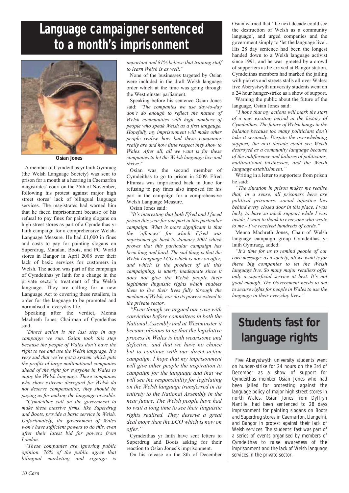# **Language campaigner sentenced to a month's imprisonment**



*Osian Jones*

A member of Cymdeithas yr Iaith Gymraeg (the Welsh Language Society) was sent to prison for a month at a hearing in Caernarfon magistrates' court on the 25th of November, following his protest against major high street stores' lack of bilingual language services. The magistrates had warned him that he faced imprisonment because of his refusal to pay fines for painting slogans on high street stores as part of a Cymdeithas yr Iaith campaign for a comprehensive Welsh-Language Measure. He had £1,000 in fines and costs to pay for painting slogans on Superdrug, Matalan, Boots, and PC World stores in Bangor in April 2008 over their lack of basic services for customers in Welsh. The action was part of the campaign of Cymdeithas yr Iaith for a change in the private sector's treatment of the Welsh language. They are calling for a new Language Act to covering these retailers, in order for the language to be promoted and normalised in everyday life.

Speaking after the verdict, Menna Machreth Jones, Chairman of Cymdeithas said:

*"Direct action is the last step in any campaign we run. Osian took this step because the people of Wales don't have the right to see and use the Welsh language. It's very sad that we've got a system which puts the profits of large multinational companies ahead of the right for everyone in Wales to enjoy the Welsh language. These companies who show extreme disregard for Welsh do not deserve compensation; they should be paying us for making the language invisible.*

*"Cymdeithas call on the government to make these massive firms, like Superdrug and Boots, provide a basic service in Welsh. Unfortunately, the government of Wales won't have sufficient powers to do this, even after their latest bid for powers from London.*

*"These companies are ignoring public opinion. 76% of the public agree that bilingual marketing and signage is*

*important and 81% believe that training staff to learn Welsh is as well."*

None of the businesses targeted by Osian were included in the draft Welsh language order which at the time was going through the Westminster parliament.

Speaking before his sentence Osian Jones said: *"The companies we use day-to-day don't do enough to reflect the nature of Welsh communities with high numbers of people who speak Welsh as a first langauge. Hopefully my imprisonment will make other people realise how bad these companies really are and how little respect they show to Wales. After all, all we want is for these companies to let the Welsh language live and thrive."*

Osian was the second member of Cymdeithas to go to prison in 2009. Ffred Ffransis was imprisoned back in June for refusing to pay fines also imposed for his part in the campaign for a comprehensive Welsh Language Measure.

Osian Jones said:

*"It's interesting that both Ffred and I faced prison this year for our part in this particular campaign. What is more significant is that the 'offences' for which Ffred was imprisoned go back to January 2001 which proves that this particular campaign has been long and hard. The sad thing is that the Welsh Language LCO which is now on offer, and which is the product of all this campaigning, is utterly inadequate since it does not give the Welsh people their legitimate linguistic rights which enables them to live their lives fully through the medium of Welsh, nor do its powers extend to the private sector.*

*"Even though we argued our case with conviction before committees in both the National Assembly and at Westminster it became obvious to us that the legislative process in Wales is both wearisome and defective, and that we have no choice but to continue with our direct action campaign. I hope that my imprisonment will give other people the inspiration to campaign for the language and that we will see the responsibility for legislating on the Welsh language transferred in its entirety to the National Assembly in the near future. The Welsh people have had to wait a long time to see their linguistic rights realised. They deserve a great deal more than the LCO which is now on offer."*

Cymdeithas yr Iaith have sent letters to Superdrug and Boots asking for their reaction to Osian Jones's imprisonment.

On his release on the 8th of December

Osian warned that 'the next decade could see the destruction of Welsh as a community language', and urged companies and the government simply to 'let the language live'. His 28 day sentence had been the longest handed down to a Welsh language activist since 1991, and he was greeted by a crowd of supporters as he arrived at Bangor station. Cymdeithas members had marked the jailing with pickets and streets stalls all over Wales: five Aberystwyth university students went on a 24 hour hunger-strike as a show of support.

Warning the public about the future of the language, Osian Jones said:

*"I hope that my actions will mark the start of a new exciting period in the history of Cymdeithas. The future of Welsh hangs in the balance because too many politicians don't take it seriously. Despite the overwhelming support, the next decade could see Welsh destroyed as a community language because of the indifference and failures of politicians, multinational businesses, and the Welsh language establishment."*

Writing in a letter to supporters from prison he said:

*"The situation in prison makes me realise that, in a sense, all prisoners here are political prisoners: social injustice lies behind every closed door in this place. I was lucky to have so much support while I was inside, I want to thank to everyone who wrote to me - I've received hundreds of cards."*

Menna Machreth Jones, Chair of Welsh language campaign group Cymdeithas yr Iaith Gymraeg, added:

*"It's time for us to remind people of our core message: as a society, all we want is for these big companies to let the Welsh language live. So many major retailers offer only a superficial service at best. It's not good enough. The Government needs to act to secure rights for people in Wales to use the language in their everyday lives."*

# **Students fast for language rights**

Five Aberystwyth university students went on hunger-strike for 24 hours on the 3rd of December as a show of support for Cymdeithas member Osian Jones who had been jailed for protesting against the language policy of major high street stores in north Wales. Osian Jones from Dyffryn Nantlle, had been sentenced to 28 days imprisonment for painting slogans on Boots and Superdrug stores in Caernarfon, Llangefni, and Bangor in protest against their lack of Welsh services. The students' fast was part of a series of events organised by members of Cymdeithas to raise awareness of the imprisonment and the lack of Welsh language services in the private sector.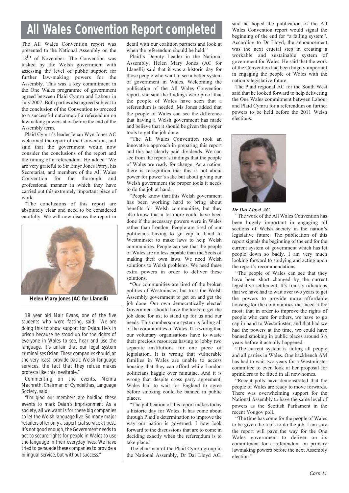# **All Wales Convention Report completed**

The All Wales Convention report was presented to the National Assembly on the 18<sup>th</sup> of November. The Convention was tasked by the Welsh government with assessing the level of public support for further law-making powers for the Assembly. This was a key commitment in the One Wales programme of government agreed between Plaid Cymru and Labour in July 2007. Both parties also agreed subject to the conclusion of the Convention to proceed to a successful outcome of a referendum on lawmaking powers at or before the end of the Assembly term.

Plaid Cymru's leader Ieuan Wyn Jones AC welcomed the report of the Convention, and said that the government would now consider the conclusions of the report and the timing of a referendum. He added "We are very grateful to Sir Emyr Jones Parry, his Secretariat, and members of the All Wales Convention for the thorough and professional manner in which they have carried out this extremely important piece of work.

"The conclusions of this report are absolutely clear and need to be considered carefully. We will now discuss the report in



*Helen Mary Jones (AC for Llanelli)*

18 year old Mair Evans, one of the five students who were fasting, said: "*We are doing this to show support for Osian. He's in prison because he stood up for the rights of everyone in Wales to see, hear and use the language. It's unfair that our legal system criminalises Osian. These companies should, at the very least, provide basic Welsh language services, the fact that they refuse makes protests like this inevitable."*

Commenting on the events, Menna Machreth, Chairman of Cymdeithas, Language Society, said:

*"I'm glad our members are holding these events to mark Osian's imprisonment As a society, all we want is for these big companies to let the Welsh language live. So many major retailers offer only a superficial service at best. It's not good enough, the Government needs to act to secure rights for people in Wales to use the language in their everyday lives. We have tried to persuade these companies to provide a bilingual service, but without success."*

detail with our coalition partners and look at when the referendum should be held."

Plaid's Deputy Leader in the National Assembly, Helen Mary Jones (AC for Llanelli) said that it was a historic day for those people who want to see a better system of government in Wales. Welcoming the publication of the All Wales Convention report, she said the findings were proof that the people of Wales have seen that a referendum is needed. Ms Jones added that the people of Wales can see the difference that having a Welsh government has made and believe that it should be given the proper tools to get the job done.

"The All Wales Convention took an innovative approach in preparing this report and this has clearly paid dividends. We can see from the report's findings that the people of Wales are ready for change. As a nation, there is recognition that this is not about power for power's sake but about giving our Welsh government the proper tools it needs to do the job at hand.

"People know that this Welsh government has been working hard to bring about benefits for Welsh communities, but they also know that a lot more could have been done if the necessary powers were in Wales rather than London. People are tired of our politicians having to go cap in hand to Westminster to make laws to help Welsh communities. People can see that the people of Wales are no less capable than the Scots of making their own laws. We need Welsh solutions to Welsh problems. We need these extra powers in order to deliver these solutions.

"Our communities are tired of the broken politics of Westminster, but trust the Welsh Assembly government to get on and get the job done. Our own democratically elected Government should have the tools to get the job done for us; to stand up for us and our needs. This cumbersome system is failing all of the communities of Wales. It is wrong that our voluntary organisations have to waste their precious resources having to lobby two separate institutions for one piece of legislation. It is wrong that vulnerable families in Wales are unable to access housing that they can afford while London politicians haggle over minutiae. And it is wrong that despite cross party agreement, Wales had to wait for England to agree before smoking could be banned in public places.

"The publication of this report makes today a historic day for Wales. It has come about through Plaid's determination to improve the way our nation is governed. I now look forward to the discussions that are to come in deciding exactly when the referendum is to take place."

The chairman of the Plaid Cymru group in the National Assembly, Dr Dai Lloyd AC, said he hoped the publication of the All Wales Convention report would signal the beginning of the end for "a failing system". According to Dr Lloyd, the announcement was the next crucial step in creating a workable and sustainable system of government for Wales. He said that the work of the Convention had been hugely important in engaging the people of Wales with the nation's legislative future.

The Plaid regional AC for the South West said that he looked forward to help delivering the One Wales commitment between Labour and Plaid Cymru for a referendum on further powers to be held before the 2011 Welsh elections.



#### *Dr Dai Lloyd AC*

"The work of the All Wales Convention has been hugely important in engaging all sections of Welsh society in the nation's legislative future. The publication of this report signals the beginning of the end for the current system of government which has let people down so badly. I am very much looking forward to studying and acting upon the report's recommendations.

"The people of Wales can see that they have been short changed by the current legislative settlement. It's frankly ridiculous that we have had to wait over two years to get the powers to provide more affordable housing for the communities that need it the most; that in order to improve the rights of people who care for others, we have to go cap in hand to Westminster; and that had we had the powers at the time, we could have banned smoking in public places around 3½ years before it actually happened.

"The current system is failing all people and all parties in Wales. One backbench AM has had to wait two years for a Westminster committee to even look at her proposal for sprinklers to be fitted in all new homes.

"Recent polls have demonstrated that the people of Wales are ready to move forwards. There was overwhelming support for the National Assembly to have the same level of powers as the Scottish Parliament in the recent Yougov poll.

"The time has come for the people of Wales to be given the tools to do the job. I am sure the report will pave the way for the One Wales government to deliver on its commitment for a referendum on primary lawmaking powers before the next Assembly election."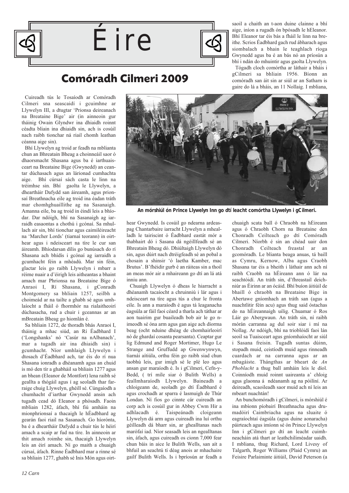





saoil a chaith an t-aon duine clainne a bhí aige, iníon a rugadh ón bpósadh le hEleanor. Bhí Eleanor tar éis bás a fháil le linn na breithe. Scrios Éadbhard gach rud ábharach agus siombalach a bhain le teaghlach ríoga Gwynedd agus ba é an bás nó an príosún a bhí i ndán do mhuintir agus gaolta Llywelyn.

Tógadh cloch comórtha ar láthair a bháis i gCilmeri sa bhliain 1956. Bíonn an comóradh san áit sin ar siúl ar an Satharn is gaire do lá a bháis, an 11 Nollaig. I mbliana,

### **Comóradh Cilmeri 2009**

Cuireadh tús le Tosaíodh ar Comóradh Cilmeri sna seascaidí i gcuimhne ar Llywelyn III, a dtugtar 'Prionsa deireanach na Breataine Bige' air (in ainneoin gur tháinig Owain Glyndwr ina dhiaidh roinnt céadta bliain ina dhiaidh sin, ach is cosúil nach raibh tionchar ná riail chomh leathan céanna aige sin).

Bhí Llywelyn ag troid ar feadh na mblianta chun an Bhreatain Bheag a choinneáil saor ó dhaorsmacht Shasana agus ba é iarthuaisceart na Breataine Bige (Gwynedd) an ceantar dúchasach agus an lárionad cumhachta aige. Bhí cúrsaí sách casta le linn na tréimhse sin. Bhí gaolta le Llywelyn, a dheartháir Dafydd san áireamh, agus prionsaí Breathnacha eile ag troid ina éadan tráth mar chomhghuaillithe ag na Sasanaigh. Amanna eile, ba ag troid in éindí leis a bhíodar. Dar ndóigh, bhí na Sasanaigh ag iarraidh easaontas a chothú i gcónaí. Sa mhullach air sin, bhí tionchar agus caimiléireacht na 'Marcher Lords' (tiarnaí teorann) in oirthear agus i ndeisceart na tíre le cur san áireamh. Bhíodarsan dílis go bunúsach do rí Shasana ach bhídís i gcónaí ag iarraidh a gcumhacht féin a mhéadú. Mar sin féin, glactar leis go raibh Llywelyn i mbarr a réime nuair a d'éirigh leis aitheantas a bhaint amach mar Phrionsa na Breataine Bige ó Anraoi I, Rí Shasana, i gConradh Montgomery sa bhliain 1257, seilbh a choimeád ar na tailte a ghabh sé agus umhlaíocht a fháil ó fhormhór na rialaitheoirí dúchasacha, rud a chuir i gceannas ar an mBreatain Bheag go hiomlán é.

Sa bhliain 1272, de thoradh bhás Anraoi I, tháinig a mhac siúd, an Rí Éadbhard I ('Longshanks' nó 'Casúr na nAlbanach', mar a tugadh air ina dhiaidh sin) i gcumhacht. Níor umhlaigh Llywelyn i dtosach d'Éadbhard ach, tar éis do rí nua Shasana ionradh a dhéanamh agus an chuid is mó den tír a ghabháil sa bhliain 1277 agus an bhean (Eleanor de Montfort) lena raibh sé geallta a thógáil agus í ag seoladh thar farraige chuig Llywelyn, ghéill sé. Cúngaíodh a chumhacht d'iarthar Gwynedd ansin ach tugadh cead dó Eleanor a phósadh. Faoin mbliain 1282, áfach, bhí fiú amháin na mionphrionsaí a thacaigh le hÉadbhard ag gearán faoi riail na Sasanach. Go híorónta, ba é a dheartháir Dafydd a chuir tús le héirí amach a scaip ar fud na tíre. In ainneoin ar thit amach roimhe sin, thacaigh Llywelyn leis an éirí amach. Ní go maith a chuaigh cúrsaí, áfach. Rinne Éadbhard mar a rinne sé sa bhliain 1277, ghabh sé Inis Món agus oirthear Gwynedd. Is cosúil go ndearna ardeaspag Chantarbaire iarracht Llywelyn a mhealladh le tairiscint ó Éadbhard eastát mór a thabhairt dó i Sasana dá ngéillfeadh sé an Bhreatain Bheag dó. Dhiúltaigh Llywelyn dó sin, agus dúirt nach dtréigfeadh sé an pobal a chosain a shinsir 'ó laetha Kamber, mac Brutus'. B'fhéidir gurb é an ráiteas sin a thoil an meas mór air a mhaireann go dtí an lá atá inniu ann.

Chuaigh Llywelyn ó dheas le hiarracht a dhéanamh tacaíocht a chruinniú i lár agus i ndeisceart na tíre agus tús a chur le fronta eile. Is ann a maraíodh é agus tá leaganacha éagsúla ar fáil faoi céard a tharla ach táthar ar aon tuairim gur buaileadh bob air le go nimeodh sé óna arm agus gan aige ach díorma beag (ocht nduine dhéag de chomhairleoirí nó de ghardaí cosanta pearsanta). Ceaptar gur lig Edmund and Roger Mortimer, Hugo Le Strange and Gruffudd ap Gwenwynwyn, tiarnái aítiúla, orthu féin go raibh siad chun taobhú leis, gur imigh sé le plé leo agus ansan gur maraíodh é. Is i gCilmeri, Cefn-y-Bedd, ( trí míle siar ó Bulith Wells) a feallmharaíodh Llywelyn. Baineadh a chloigeann de, seoladh go dtí Éadbhard é agus crochadh ar sparra é lasmuigh de Thúr Londan. Ní fios go cinnte cár cuireadh an corp ach is cosúil gur in Abbey Cwm Hir a adhlacadh é. Taispeánadh cloigeann Llywelyn dá arm agus cuireadh ina luí orthu géilleadh dá bharr sin, ar ghealltanas nach marófaí iad. Níor seasadh leis an ngealltanas sin, áfach, agus cuireadh os cionn 7,000 fear chun báis in aice le Bulith Wells, san aít a bhfuil an seachtú tí déag anois ar mhachaire gailf Bulith Wells. Is i bpríosún ar feadh a

chuaigh scata ball ó Chraobh na hÉireann agus ó Chraobh Chorn na Breataine den Chonradh Ceilteach go dtí Comóradh Cilmeri. Níorbh é sin an chéad uair don Chonradh Ceilteach freastal ar an gcomóradh. Le blianta beaga anuas, tá baill as Cymru, Kernow, Alba agus Craobh Shasana tar éis a bheith i láthair ann ach ní raibh Craobh na hÉireann ann ó lár na seachtóidí. An tráth sin, d'fhreastail deichniúr as Éirinn ar an ócáid. Bhí buíon áitiúil de bhaill ó chraobh na Breataine Bige in Abertawe gníomhach an tráth san (agus a nuachtlitir féin acu) agus thug said óstachas do na hÉireannaigh uilig. Chuamar ó Ros Láir go Abergwaun. An tráth sin, ní raibh mórán carranna ag dul soir siar i mí na Nollag. Ar ndóigh, bhí na trioblóidí faoi lán seoil sa Tuaisceart agus gníomhaíocht ar siúl i Sasana freisin. Tugadh suntas dúinn, stopadh muid, ceistíodh muid agus rinneadh cuardach ar na carranna agus ar an mbagáiste. Thángthas ar bheart de *An Phoblacht* a thug ball amháin leis le díol. Coinníodh muid roinnt uaireanta a' chloig agus glaonna á ndéanamh ag na póilíní. Ar deireadh, scaoileadh saor muid ach ní leis an mbeart nuachtán!

An bunchomóradh i gCilmeri, is mórshiúl é ina mbíonn píobairí Breathnacha agus drumadóirí Caimbriacha agus na sluaite ó eagraíochtaí éagsúla (agus duine aonaracha) páirteach agus imíonn sé ón Prince Llywelyn Inn i gCilmeri go dtí an leacht cuimhneacháin atá thart ar leathchiliméadar uaidh. I mbliana, thug Richard, Lord Livesy of Talgarth, Roger Williams (Plaid Cymru) an Feisire Parlaiminte áitiúil, David Peterson (a



*An mórshiúl ón Prince Llywelyn Inn go dtí leacht comórtha Llywelyn i gCilmeri.*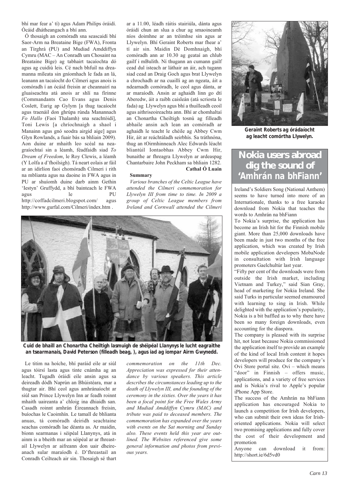bhí mar fear a' tí) agus Adam Philips óráidí. Ócáid dhátheangach a bhí ann.

Ó thosaigh an comóradh sna seascaidí bhí Saor-Arm na Breataine Bige (FWA), Fronta an Tírghrá (PU) and Mudiad Amddiffyn Cymru (MAC – An Conradh um Chosaint na Breataine Bige) ag tabhairt tacaíochta dó agus ag cuidiú leis. Cé nach bhfuil na dreamanna míleata sin gníomhach le fada an lá, leanann an tacaíocht do Cilmeri agus anois is comóradh í an ócáid freisin ar cheannairí na gluaiseachta atá anois ar shlí na fírinne (Commandants Cao Evans agus Denis Coslett, Eurig ap Gylym [a thug tacaíocht agus traenáil don ghrúpa rúnda Manannach *Fo Hallo* (Faoi Thalamh) sna seachtóidí], Toni Lewis [a chríochnaigh a shaol i Manainn agus gnó seodra airgid aige] agus Glyn Rowlands, a fuair bás sa bhliain 2009). Aon duine ar mhaith leo scéal na neagraíochtaí sin a léamh, féadfaidh siad *To Dream of Freedom*, le Roy Clewis, a léamh (Y Lolfa a d'fhoilsigh). Tá neart eolais ar fáil ar an idirlíon faoi chomóradh Cilmeri i rith na mblianta agus na daoine in FWA agus in PU ar shuíomh duine darb ainm Gethin 'Iestyn' Gruffydd, a bhí bainteach le FWA agus le PU http://coffadcilmeri.blogspot.com/ agus

http://www.gurfal.com/Cilmeri/index.htm .

ar a 11.00, léadh ráitis stairiúla, dánta agus óráidí chun an slua a chur ag smaoineamh níos doimhne ar an tréimhse sin agus ar Llywelyn. Bhí Geraint Roberts mar fhear a' tí air sin. Maidin Dé Domhnaigh, bhí comóradh ann ar 10.30 ag geataí an chlub gailf i mBulith. Ní thugann an cumann gailf cead dul isteach ar láthair an áir, ach tugann siad cead an Draig Goch agus brat Llywelyn a chrochadh ar na cuaillí ag an ngeata, áit a ndearnadh comóradh, le ceol agus dánta, ar ar maraíodh. Ansin ar aghaidh linn go dtí Aberedw, áit a raibh caisleán (atá scriosta le fada) ag Llywelyn agus bhí a thuilleadh ceoil agus aithriseoireachta ann. Bhí ar chomhaltaí an Chonartha Cheiltigh tosnú ag filleadh abhaile ansin ach lean an comóradh ar aghaidh le teacht le chéile ag Abbey Cwm Hir, áit ar reáchtáladh seirbhís. Sa tráthnóna, thug an tOirmhinneach Alec Edwards léacht bliantúil Iontaobhas Abbey Cwm Hir, bunaithe ar fhreagra Llywelyn ar ardeaspag Chantarbaire John Peckham sa bhliain 1282. **Cathal Ó Luain**

#### **Summary**

*Various branches of the Celtic League have attended the Cilmeri commemoration for Llywelyn III from time to time. In 2009 a group of Celtic League members from Ireland and Cornwall attended the Cilmeri*



*Cuid de bhaill an Chonartha Cheiltigh lasmuigh de shéipéal Llanynys le lucht eagraithe an tsearmanais, David Peterson (filleadh beag, ), agus iad ag iompar Airm Gwynedd.*

Le titim na hoíche, bhí paráid eile ar siúl agus tóirsí lasta agus tinte cnámha ag an leacht. Tugadh óráidí eile ansin agus sa deireadh dódh Naprún an Bhúistéara, mar a thugtar air. Bhí ceol agus amhránaíocht ar siúl san Prince Llywelyn Inn ar feadh roinnt mhaith uaireanta a' chloig ina dhiaidh san. Casadh roinnt amhrán Éireannach freisin, buíochas le Caoimhín. Le tamall de bhlianta anuas, tá comóradh deiridh seachtaine seachas comóradh lae déanta as. Ar maidin, bíonn searmanas i séipéal Llanynys, atá in ainm is a bheith mar an séipéal ar ar fhreastail Llywelyn ar aifreann don uair dheireanach sular maraíodh é. D'fhreastail an Conradh Ceilteach air sin. Thosaigh sé thart

*commemoration on the 11th Dec. Appreciation was expressed for their attendance by various speakers. This article describes the circumstances leading up to the death of Llywelyn III, and the founding of the ceremony in the sixties. Over the years it has been a focal point for the Free Wales Army and Mudiad Amddiffyn Cymru (MAC) and tribute was paid to deceased members. The commemoration has expanded over the years with events on the Sat morning and Sunday also. These events held this year are outlined. The Websites referenced give some general information and photos from previous years.*



*Geraint Roberts ag órádaíocht ag leacht comórtha Llywelyn.*

### **Nokia users abroad dig the sound of '***Amhrán na bhFiann***'**

Ireland's Soldiers Song (National Anthem) seems to have turned into more of an Internationale, thanks to a free karaoke download from Nokia that teaches the words to Amhrán na bhFiann

To Nokia's surprise, the application has become an Irish hit for the Finnish mobile giant. More than 25,000 downloads have been made in just two months of the free application, which was created by Irish mobile application developers MobaNode in consultation with Irish language promoters Gaelchultúr last year.

"Fifty per cent of the downloads were from outside the Irish market, including Vietnam and Turkey," said Sian Gray, head of marketing for Nokia Ireland. She said Turks in particular seemed enamoured with learning to sing in Irish. While delighted with the application's popularity, Nokia is a bit baffled as to why there have been so many foreign downloads, even accounting for the diaspora.

The company is pleased with its surprise hit, not least because Nokia commissioned the application itself to provide an example of the kind of local Irish content it hopes developers will produce for the company's Ovi Store portal site. Ovi – which means "door" in Finnish – offers music, applications, and a variety of free services and is Nokia's rival to Apple's popular iPhone App Store.

The success of the Amhrán na bhFiann application has encouraged Nokia to launch a competition for Irish developers, who can submit their own ideas for Irishoriented applications. Nokia will select two promising applications and fully cover the cost of their development and promotion

Anyone can download it from: http://short.ie/6d5vd0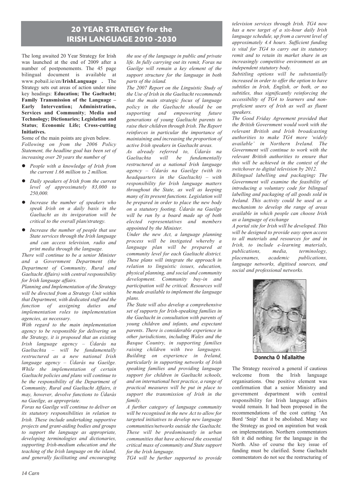### **20 YEAR STRATEGY for the IRISH LANGUAGE 2010 -2030**

The long awaited 20 Year Strategy for Irish was launched at the end of 2009 after a number of postponements. The 45 page bilingual document is available at www.pobail.ie/en/**IrishLanguage** *.* The Strategy sets out areas of action under nine key headings: **Education; The Gaeltacht; Family Transmission of the Language – Early Intervention; Administration, Services and Community**; **Media and Technology; Dictionaries; Legislation and Status**; **Economic Life; Cross-cutting Initiatives.**

Some of the main points are given below. *Following on from the 2006 Policy Statement, the headline goal has been set of increasing over 20 years the number of* 

- *People with a knowledge of Irish from the current 1.66 million to 2 million.*
- $\bullet$  *Daily speakers of Irish from the current level of approximately 83,000 to 250,000.*
- *Increase the number of speakers who speak Irish on a daily basis in the Gaeltacht as its invigoration will be critical to the overall plan/strategy.*
- *Increase the number of people that use State services through the Irish language and can access television, radio and print media through the language.*

*There will continue to be a senior Minister and a Government Department (the Department of Community, Rural and Gaeltacht Affairs) with central responsibility for Irish language affairs.* 

*Planning and Implementation of the Strategy will be directed from a Strategy Unit within that Department, with dedicated staff and the function of assigning duties and implementation roles to implementation agencies, as necessary.*

*With regard to the main implementation agency to be responsible for delivering on the Strategy, it is proposed that an existing Irish language agency – Údarás na Gaeltachta – will be fundamentally restructured as a new national Irish language agency – Údarás na Gaeilge. While the implementation of certain Gaeltacht policies and plans will continue to be the responsibility of the Department of Community, Rural and Gaeltacht Affairs, it may, however, devolve functions to Údarás na Gaeilge, as appropriate.* 

*Foras na Gaeilge will continue to deliver on its statutory responsibilities in relation to Irish. These include undertaking supportive projects and grant-aiding bodies and groups to support the language as appropriate, developing terminologies and dictionaries, supporting Irish-medium education and the teaching of the Irish language on the island, and generally facilitating and encouraging*

*the use of the language in public and private life. In fully carrying out its remit, Foras na Gaeilge will remain a key element of the support structure for the language in both parts of the island.*

*The 2007 Report on the Linguistic Study of the Use of Irish in the Gaeltacht recommends that the main strategic focus of language policy in the Gaeltacht should be on supporting and empowering future generations of young Gaeltacht parents to raise their children through Irish. The Report reinforces in particular the importance of maintaining and increasing the proportion of active Irish speakers in Gaeltacht areas.*

*As already referred to, Údarás na Gaeltachta will be fundamentally restructured as a national Irish language agency – Údarás na Gaeilge (with its headquarters in the Gaeltacht) – with responsibility for Irish language matters throughout the State, as well as keeping many of its present functions. Legislation will be prepared in order to place the new body on a statutory footing. Údarás na Gaeilge will be run by a board made up of both elected representatives and members appointed by the Minister.* 

*Under the new Act, a language planning process will be instigated whereby a language plan will be prepared at community level for each Gaeltacht district. These plans will integrate the approach in relation to linguistic issues, education, physical planning, and social and community development. Community buy-in and participation will be critical. Resources will be made available to implement the language plans.*

*The State will also develop a comprehensive set of supports for Irish-speaking families in the Gaeltacht in consultation with parents of young children and infants, and expectant parents. There is considerable experience in other jurisdictions, including Wales and the Basque Country, in supporting families raising children with two languages. Building on experience in Ireland, particularly in supporting networks of Irish speaking families and providing language support for children in Gaeltacht schools, and on international best practice, a range of practical measures will be put in place to support the transmission of Irish in the family.*

*A further category of language community will be recognised in the new Act to allow for targeted initiatives to develop new language communities/networks outside the Gaeltacht. These will be predominantly in urban communities that have achieved the essential critical mass of community and State support for the Irish language.*

*TG4 will be further supported to provide*

*television services through Irish. TG4 now has a new target of a six-hour daily Irish language schedule, up from a current level of approximately 4.4 hours. Sufficient funding is vital for TG4 to carry out its statutory remit and to retain its market share in an increasingly competitive environment as an independent statutory body.*

*Subtitling options will be substantially increased in order to offer the option to have subtitles in Irish, English, or both, or no subtitles, thus significantly reinforcing the accessibility of TG4 to learners and nonproficient users of Irish as well as fluent speakers.*

*The Good Friday Agreement provided that the British Government would work with the relevant British and Irish broadcasting authorities to make TG4 more 'widely available' in Northern Ireland. The Government will continue to work with the relevant British authorities to ensure that this will be achieved in the context of the switchover to digital television by 2012.*

*Bilingual labelling and packaging: The Government will examine the feasibility of introducing a voluntary code for bilingual labelling and packaging of all goods sold in Ireland. This activity could be used as a mechanism to develop the range of areas available in which people can choose Irish as a language of exchange*

*A portal site for Irish will be developed. This will be designed to provide easy open access to all materials and resources for and in Irish, to include e-learning materials, publications, media, terminology, placenames, academic publications, language networks, digitised sources, and social and professional networks.*



*Donncha Ó hÉallaithe*

The Strategy received a general if cautious welcome from the Irish language organisations. One positive element was confirmation that a senior Ministry and government department with central responsibility for Irish language affairs would remain. It had been proposed in the recommendations of the cost cutting 'An Bord 'Snip' that it be abolished. Many see the Strategy as good on aspiration but weak on implementation. Northern commentators felt it did nothing for the language in the North. Also of course the key issue of funding must be clarified. Some Gaeltacht commentators do not see the restructuring of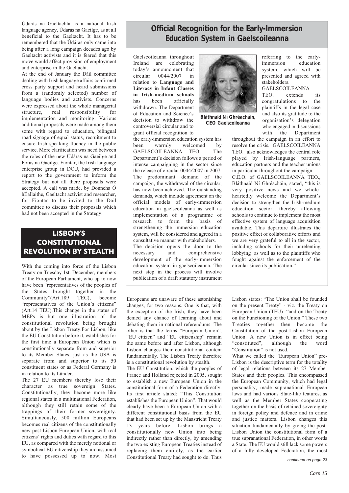Údarás na Gaeltachta as a national Irish language agency, Údarás na Gaeilge, as at all beneficial to the Gaeltacht. It has to be remembered that the Údáras only came into being after a long campaign decades ago by Gaeltacht activists and it is feared that this move would affect provision of employment and enterprise in the Gaeltacht.

At the end of January the Dáil committee dealing with Irish language affairs confirmed cross party support and heard submissions from a (randomly selected) number of language bodies and activists. Concerns were expressed about the whole managerial structure, real responsibility for implementation and monitoring. Various additional proposals were made among them some with regard to education, bilingual road signage of equal status, recruitment to ensure Irish speaking fluency in the public service. More clarification was need between the roles of the new Údáras na Gaeilge and Foras na Gaeilge. Fiontar, the Irish language enterprise group in DCU, had provided a report to the government to inform the Strategy but not all there proposals were accepted. A call was made, by Donncha Ó hÉallaithe, Gaeltacht activist and researcher, for Fiontar to be invited to the Dail committee to discuss their proposals which had not been accepted in the Strategy.

### **LISBON'S CONSTITUTIONAL REVOLUTION BY STEALTH**

With the coming into force of the Lisbon Treaty on Tuesday 1st. December, members of the European Parliament, who up to now have been "representatives of the peoples of the States brought together in the Community"(Art.189 TEC), become "representatives of the Union's citizens" (Art.14 TEU).This change in the status of MEPs is but one illustration of the constitutional revolution being brought about by the Lisbon Treaty.For Lisbon, like the EU Constitution before it, establishes for the first time a European Union which is constitutionally separate from and superior to its Member States, just as the USA is separate from and superior to its 50 constituent states or as Federal Germany is in relation to its Länder.

The 27 EU members thereby lose their character as true sovereign States. Constitutionally, they become more like regional states in a multinational Federation, although they still retain some of the trappings of their former sovereignty. Simultaneously, 500 million Europeans becomes real citizens of the constitutionally new post-Lisbon European Union, with real citizens' rights and duties with regard to this EU, as compared with the merely notional or symbolical EU citizenship they are assumed to have possessed up to now. Most

### **Official Recognition for the Early-Immersion Education System in Gaelscoileanna**

Gaelscoileanna throughout Ireland are celebrating today's announcment that circular 0044/2007 in relation to **Language and Literacy in Infant Classes in Irish-medium schools** has been officially withdrawn. The Department of Education and Science's decision to withdraw the controversial circular and to grant official recognition to the early-immersion education system has<br>been warmly welcomed by

been warmly welcomed by<br>GAELSCOILEANNA TEO. The GAELSCOILEANNA TEO.

Department's decision follows a period of intense campaigning in the sector since the release of circular 0044/2007 in 2007. The predominant demand of the campaign, the withdrawal of the circular, has now been achieved. The outstanding demands, which include agreement on the official models of early-immersion education in gaelscoileanna as well as implementation of a programme of research to form the basis of strengthening the immersion education system, will be considered and agreed in a consultative manner with stakeholders. The decision opens the door to the necessary and comprehensive development of the early-immersion education system in gaelscoileanna. The next step in the process will involve publication of a draft statutory instrument



*Bláthnaid Ní Ghréacháin, CEO Gaelscoileanna*

referring to the earlyimmersion education system, which will be presented and agreed with stakeholders.

GAELSCOILEANNA

TEO. extends its congratulations to the plaintiffs in the legal case and also its gratitude to the organisation's delegation who engaged in discussions with the Department

throughout the campaign in an effort to resolve the crisis. GAELSCOILEANNA TEO. also acknowledges the central role played by Irish-language partners, education partners and the teacher unions in particular throughout the campaign. C.E.O. of GAELSCOILEANNA TEO., Bláthnaid Ní Ghréacháin, stated, "this is very positive news and we wholeheartedly welcome the Department's decision to strengthen the Irish-medium education sector, thereby allowing schools to continue to implement the most effective system of language acquisition available. This departure illustrates the positive effect of collaborative efforts and we are very grateful to all in the sector, including schools for their unrelenting lobbying as well as to the plaintiffs who fought against the enforcement of the circular since its publication."

Europeans are unaware of these astonishing changes, for two reasons. One is that, with the exception of the Irish, they have been denied any chance of learning about and debating them in national referendums. The other is that the terms "European Union", "EU citizen" and "EU citizenship" remain the same before and after Lisbon, although Lisbon changes their constitutional content fundamentally. The Lisbon Treaty therefore is a constitutional revolution by stealth.

The EU Constitution, which the peoples of France and Holland rejected in 2005, sought to establish a new European Union in the constitutional form of a Federation directly. Its first article stated: "This Constitution establishes the European Union". That would clearly have been a European Union with a different constitutional basis from the EU that had been set up by the Maastricht Treaty 13 years before. Lisbon brings a constitutionally new Union into being indirectly rather than directly, by amending the two existing European Treaties instead of replacing them entirely, as the earlier Constitutional Treaty had sought to do. Thus

Lisbon states: "The Union shall be founded on the present Treaty" - viz. the Treaty on European Union (TEU) -"and on the Treaty on the Functioning of the Union." These two Treaties together then become the Constitution of the post-Lisbon European Union. A new Union is in effect being "constituted", although the word "Constitution" is not used.

What we called the "European Union" pre-Lisbon is the descriptive term for the totality of legal relations between its 27 Member States and their peoples. This encompassed the European Community, which had legal personality, made supranational European laws and had various State-like features, as well as the Member States cooperating together on the basis of retained sovereignty in foreign policy and defence and in crime and justice matters. Lisbon changes this situation fundamentally by giving the post-Lisbon Union the constitutional form of a true supranational Federation, in other words a State. The EU would still lack some powers of a fully developed Federation, the most

*continued on page 23*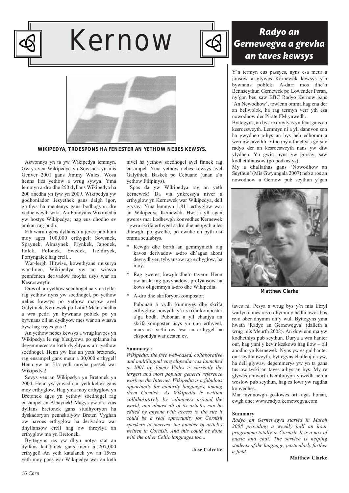

# Kernow



## Radyo an Gernewegva a grevha an taves kewsys

Y'n termyn eus passyes, nyns esa meur a jonsow a glywes Kernewek kewsys y'n bywnans poblek. A-darr mos dhe'n Bennseythun Gernewek po Lowender Peran, ny'gan beu saw BBC Radyo Kernow gans 'An Newodhow', towlenn omma hag ena der an bellwolok, ha rag termyn verr yth esa nowodhow der Pirate FM ynwedh.

Byttegyns, an bys re dreylyas yn feur.gans an kesroesweyth. Lemmyn ni a yll dannvon son ha gwydheo a-hys an bys heb edhomm a wernow tavethli. Ytho my a lonchyas gorsav radyo der an kesroesweyth nans yw diw vlydhen. Yn gwir, nyns yw gorsav, saw kodhethliansow (po podkastys).

My a dhallathas gans 'Nowodhow an Seythun' (Mis Gwynngala 2007) neb a ros an nowodhow a Gernow pub seythun y'gan



*Matthew Clarke*

taves ni. Pesya a wrug bys y'n mis Ebryl warlyna, mes res o dhymm y hedhi awos bos re a ober dhymm dh'y wul. Byttegyns yma hwath 'Radyo an Gernewegva' (dalleth a wrug mis Meurth 2008). An dowlenn ma yw kodhethlys pub seythun. Durya a wra hanter our, hag ynni y kevir keskows hag ilow – oll anodho yn Kernewek. Nyns yw es gul hanter our seythunweyth, byttegyns challenj da yw, ha dell glywav, degemmerys yw yn ta gans tus ow tyski an taves a-hys an bys. My re glywas dhiworth Kembroyon ynwedh neb a woslow pub seythun, hag es lowr yw ragdha konvedhes.

Mar mynnowgh goslowes orti agas honan, ewgh dhe: www.radyo.kernewegva.com

#### **Summary**

*Radyo an Gernewegva started in March 2008 providing a weekly half an hour programme totally in Cornish. It is a mix of music and chat. The service is helping students of the language, particularly further a-field.* 

*WIKIPEDYA, TROESPONS HA FENESTER AN YETHOW NEBES KEWSYS.*

Aswonnys yn ta yw Wikipedya lemmyn. Gwrys veu Wikipedya yn Sowsnek yn mis Genver 2001 gans Jimmy Wales. Wosa henna lies yethow a wrug sywya. Yma lemmyn a-dro dhe 250 dyllans Wikipedya ha 200 anedha yn fyw yn 2009. Wikipedya yw godhoniador liesyethek gans dalgh igor, gruthys ha mentenys gans bodhogyon dre vedhelweyth wiki. An Fondyans Wikimedia yw hostys Wikipedya; nag eus dhodho ev amkan rag budh.

Eth warn ugens dyllans a'n jeves pub huni moy ages 100,000 erthygel: Sowsnek, Spaynek, Almaynek, Frynkek, Japonek, Italek, Polonek, Swedek, Iseldiryek, Portyngalek hag erell...

War-lergh Hitwise, kowethyans musurya war-linen, Wikipedya yw an wiasva pennfenten derivadow moyha usys war an Kesrosweyth.

Dres oll an yethow soedhogel na yma tyller rag yethow nyns yw soedhogel, po yethow nebes kewsys po yethow marow avel Galythiek, Kernewek po Latin! Meur anedha a wra pedri yn bywnans poblek po yn bywnans oll an dydhyow mes war an wiasva byw hag usyes yns i!

An yethow nebes kewsys a wrug kavoes yn Wikipedya le rag bleujyowa po splanna ha degemmeres an keth dyghtyans a'n yethow soedhogel. Henn yw kas an yeth bretonek, rag ensampel gans meur a 30,000 erthygel! Henn yw an 51a yeth moyha poesek war Wikipedya!

Sevys veu an Wikipedya yn Bretonek yn 2004. Henn yw ynwedh an yeth keltek gans moy erthyglow. Hag yma moy erthyglow yn Bretonek ages yn yethow soedhogel rag ensampel an Albaynek! Magys yw dre vras dyllans bretonek gans studhyoryon ha dyskadoryon pennskolyow Breten Vyghan ow havoes erthyglow ha derivadow war dhyllansow erell hag ow threylya an erthyglow ma yn Bretonek.

Byttegyns res yw dhyn notya stat an dyllans katalanek gans meur a 207,000 erthygel! An yeth katalanek yw an 15ves yeth moy poes war Wikipedya war an keth

nivel ha yethow soedhogel avel finnek rag ensampel. Yma yethow nebes kewsys avel Galythiek, Baskek po Cebuano (unan a'n yethow Filipinys).

Spas da yw Wikipedya rag an yeth kernewek! Da via ynkressya niver a erthyglow yn Kernewek war Wikipedya, dell grysav. Yma lemmyn 1,811 erthyglow war an Wikipedya Kernewek. Hwi a yll agan gweres mar kodhewgh konvedhes Kernewek - gwra skrifa erthygel a-dro dhe neppyth a les dhewgh, po gwelhe, po ewnhe an pyth usi omma seulabrys.

- Kewgh dhe borth an gemmynieth rag kavos derivadow a-dro dh'agas akont devnydhyer, tybyansow rag erthyglow, ha moy.
- Rag gweres, kewgh dhe'n tavern. Henn yw an le rag govynadow, profyansow ha kows ollgemmyn a-dro dhe Wikipedia.
- A-dro dhe skriforyon-kompostor:

Pubonan a vydh kummyes dhe skrifa erthyglow nowydh y'n skrifa-komposter a'ga bodh. Pubonan a yll chanjya an skrifa-komposter usys yn unn erthygel, mars usi va/hi ow lesa an erthygel ha ekspondya war desten ev.

### **Summary :**

*Wikipedia, the free web-based, collaborative and multilingual encyclopedia was launched in 2001 by Jimmy Wales is currently the largest and most popular general reference work on the Internet. Wikipedia is a fabulous opportunity for minority languages, among them Cornish. As Wikipedia is written collaboratively by volunteers around the world, and almost all of its articles can be edited by anyone with access to the site it could be a real opportunity for Cornish speakers to increase the number of articles written in Cornish. And this could be done with the other Celtic languages too...*

**José Calvette**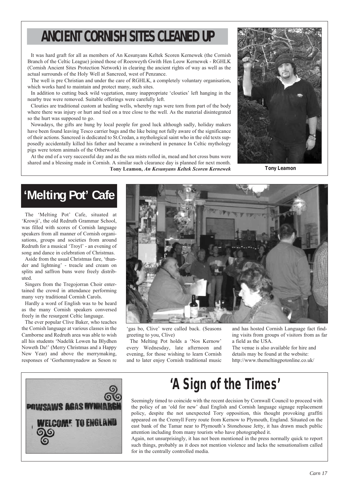# **ANCIENT CORNISH SITES CLEANED UP**

It was hard graft for all as members of An Kesunyans Keltek Scoren Kernewek (the Cornish Branch of the Celtic League) joined those of Roesweyth Gwith Hen Leow Kernewek - RGHLK (Cornish Ancient Sites Protection Network) in clearing the ancient rights of way as well as the actual surrounds of the Holy Well at Sancreed, west of Penzance.

The well is pre Christian and under the care of RGHLK, a completely voluntary organisation, which works hard to maintain and protect many, such sites.

In addition to cutting back wild vegetation, many inappropriate 'clouties' left hanging in the nearby tree were removed. Suitable offerings were carefully left.

Clouties are traditional custom at healing wells, whereby rags were torn from part of the body where there was injury or hurt and tied on a tree close to the well. As the material disintegrated so the hurt was supposed to go.

Nowadays, the gifts are hung by local people for good luck although sadly, holiday makers have been found leaving Tesco carrier bags and the like being not fully aware of the significance of their actions. Sancreed is dedicated to St.Credan, a mythological saint who in the old texts supposedly accidentally killed his father and became a swineherd in penance In Celtic mythology pigs were totem animals of the Otherworld.

At the end of a very successful day and as the sea mists rolled in, mead and hot cross buns were shared and a blessing made in Cornish. A similar such clearance day is planned for next month. **Tony Leamon,** *An Kesunyans Keltek Scoren Kernewek*



*Tony Leamon*

# **'Melting Pot' Cafe**

The 'Melting Pot' Cafe, situated at 'Krowji', the old Redruth Grammar School, was filled with scores of Cornish language speakers from all manner of Cornish organisations, groups and societies from around Redruth for a musical 'Troyl' - an evening of song and dance in celebration of Christmas.

Aside from the usual Christmas fare, 'thunder and lightning' - treacle and cream on splits and saffron buns were freely distributed.

Singers from the Tregojorran Choir entertained the crowd in attendance performing many very traditional Cornish Carols.

Hardly a word of English was to be heard as the many Cornish speakers conversed freely in the resurgent Celtic language.

The ever popular Clive Baker, who teaches the Cornish language at various classes in the Camborne and Redruth area was able to wish all his students 'Nadelik Lowen ha Blydhen Noweth Da!' (Merry Christmas and a Happy New Year) and above the merrymaking, responses of 'Gorhemmynadow as Seson re



'gas bo, Clive' were called back. (Seasons greeting to you, Clive)

The Melting Pot holds a 'Nos Kernow' every Wednesday, late afternoon and evening, for those wishing to learn Cornish and to later enjoy Cornish traditional music and has hosted Cornish Language fact finding visits from groups of visitors from as far a field as the USA.

The venue is also available for hire and details may be found at the website: http://www.themeltingpotonline.co.uk/



# **'A Sign of the Times'**

Seemingly timed to coincide with the recent decision by Cornwall Council to proceed with the policy of an 'old for new' dual English and Cornish language signage replacement policy, despite the not unexpected Tory opposition, this thought provoking graffiti appeared on the Cremyll Ferry route from Kernow to Plymouth, England. Situated on the east bank of the Tamar near to Plymouth's Stonehouse Jetty, it has drawn much public attention including from many tourists who have photographed it.

Again, not unsurprisingly, it has not been mentioned in the press normally quick to report such things, probably as it does not mention violence and lacks the sensationalism called for in the centrally controlled media.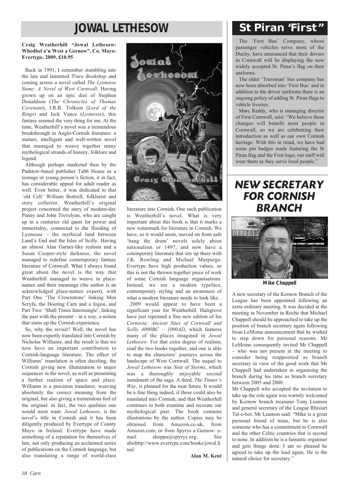## **JOWAL LETHESOW St Piran "First"**

### **Craig Weatherhill "Jowal Lethesow: Whedhel a'n West a Gernow", Co. Mayo: Evertype, 2009, £10.95**

Back in 1991, I remember stumbling into the late and lamented *Truro Bookshop* and coming across a novel called *The Lyonesse Stone: A Novel of West Cornwall*. Having grown up on an epic diet of Stephen Donaldson (*The Chronicles of Thomas Covenant*), J.R.R. Tolkien (*Lord of the Rings*) and Jack Vance (*Lyonesse*), this fantasy seemed the very thing for me. At the time, Weatherhill's novel was a tremendous breakthrough in Anglo-Cornish literature: a mature, intelligent and well-written novel that managed to weave together many mythological strands of history, folklore and legend.

Although perhaps marketed then by the Padstow-based publisher Tabb House as a teenage or young person's fiction, it in fact, has considerable appeal for adult reader as well. Even better, it was dedicated to that 'old Celt' William Bottrell, folklorist and story collector. Weatherhill's original project concerned the story of modern-day Penny and John Trevelyan, who are caught up in a centuries old quest for power and immortality, connected to the flooding of Lyonesse – the mythical land between Land's End and the Isles of Scilly. Having an almost Alan Garner-like realism and a Susan Cooper-style darkness, the novel managed to redefine contemporary fantasy literature of Cornwall. What I always found great about the novel is the way that Weatherhill managed to weave in placenames and their meanings (the author is an acknowledged place-names expert), with Part One 'The Crownstone' linking Men Scryfa, the Hooting Carn and a fogou, and Part Two: 'Shall Times Intermingle', linking the past with the present  $-$  in a way, a notion that sums up the Cornish experience.

So, why the revisit? Well, the novel has now been expertly translated into Cornish by Nicholas Williams, and the result is that we now have an important contribution to Cornish-language literature. The effect of Williams' translation is often dazzling; the Cornish giving new illumination to major sequences in the novel, as well as presenting a further realism of space and place. Williams is a precision translator, weaving absolutely the correct meaning from the original, but also giving a tremendous feel of the original: in fact, the two qualities one would most want. *Jowal Lethosow*, is the novel's title in Cornish and it has been diligently produced by Evertype of County Mayo in Ireland. Evertype have made something of a reputation for themselves of late, not only producing an acclaimed series of publications on the Cornish language, but also translating a range of world-class



literature into Cornish. One such publication is Weatherhill's novel. What is very important about this book is that it marks a new watermark for literature in Cornish. We have, so it would seem, moved on from safe 'bang the drum' novels solely about nationalism or 1497, and now have a cotemporary literature that sits up there with J.K. Rowling and Michael Murpurgo. Evertype have high production values, so this is not the thrown together piece of work of some Cornish language organisations. Instead, we see a modern typeface, contemporary styling and an awareness of what a modern literature needs to look like.

2009 would appear to have been a significant year for Weatherhill. Halsgrove have just reprinted a fine new edition of his *Cornovia: Ancient Sites of Cornwall and Scilly 4000BC – 1000AD*, which features many of the places imagined in *Jowal Lethosow*. For that extra degree of realism, read the two books together, and one is able to map the characters' journeys across the landscape of West Cornwall. The sequel to *Jowal Lethosow* was *Seat of Storms*, which was a thoroughly enjoyable second instalment of the saga. A third, *The Tinner's Way*, is planned for the near future. It would be a fine thing indeed, if these could also be translated into Cornish, and that Weatherhill continues to both examine and recreate our mythological past. The book contains illustrations by the author. Copies may be obtained from Amazon.co.uk, from Amazon.com, or from Spyrys a Gernow: email shoppa@spyrys.org. See alsohttp://www.evertype.com/books/jowal.h tml

**Alan M. Kent**

The 'First Bus' Company, whose passenger vehicles serve most of the Duchy, have announced that their drivers in Cornwall will be displaying the now widely accepted St. Piran's flag on their uniforms.

The older 'Truronian' bus company has now been absorbed into 'First Bus' and in addition to the driver uniforms there is an ongoing policy of adding St. Piran flags to vehicle liveries.

Marc Reddy, who is managing director of First Cornwall, said: "We believe these changes will benefit most people in Cornwall, so we are celebrating their introduction as well as our own Cornish heritage. With this in mind, we have had some pin badges made featuring the St Piran flag and the First logo; our staff will wear them as they serve local people."

NEW SECRETARY FOR CORNISH BRANCH



*Mike Chappell*

A new secretary of the Kernow Branch of the League has been appointed following an extra ordinary meeting. It was decided at the meeting in November in Roche that Michael Chappell should be approached to take up the position of branch secretary again following Iwan LeMoine announcement that he wished to step down for personal reasons. Mr LeMoine consequently invited Mr Chappell – who was not present at the meeting to consider being reappointed as branch secretary in view of the good work that Mr Chappell had undertaken in organising the branch during his time as branch secretary between 2005 and 2008.

Mr Chappell who accepted the invitation to take up the role again was warmly welcomed by Kernow branch treasurer Tony Leamon and general secretary of the League Rhisiart Tal-e-bot. Mr Leamon said: "Mike is a great personal friend of mine, but he is also someone who has a commitment to Cornwall and the other Celtic countries that is second to none. In addition he is a fantastic organiser and gets things done. I am so pleased he agreed to take up the lead again. He is the natural choice for secretary."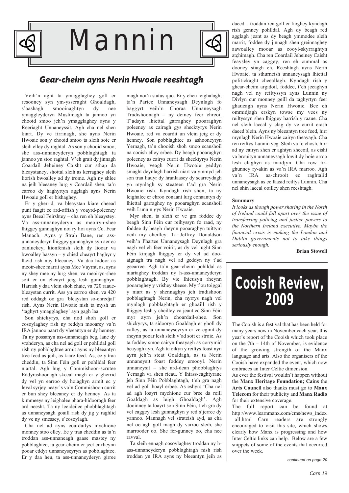

### Gear-cheim ayns Nerin Hwoaie reeshtagh

Veih'n aght ta ymagglaghey goll er resooney syn ym-ysseraght Ghoaldagh, s'aashagh smooinaghtyn dy nee ymaggleyderyn Muslimagh ta jannoo yn chooid smoo jeh'n ymagglaghey ayns y Reeriaght Unnaneyssit. Agh cha nel shen kiart. Dy ve firrinagh, she ayns Nerin Hwoaie son y chooid smoo ta sleih soie er sleih elley dy raghtal. As son y chooid smoo, she ass-unnaneyderyn pobblaghtagh ta jannoo yn stoo raghtal. V'eh grait dy jinnagh Coardail Jeheiney Caisht cur sthap da bleaystaney, shottal sleih as kerraghey sleih liorish bwoalley ad dy trome. Agh ny shlee na jeih bleeaney lurg y Coardail shen, ta'n earroo dy haghyrtyn agglagh ayns Nerin Hwoaie goll er bishaghey.

Er y gherrid, va bleaystan kiare cheead punt faagit ec ard-offish y voayrd-poleeney ayns Beeal Feirshtey – cha ren eh bleaystey. Va ass-unnaneyderyn as meoiryn-shee lhiggey gunnaghyn noi ry hoi ayns Co. Fear Manach. Ayns y Strah Bane, ren assunnaneyderyn lhiggey gunnaghyn syn aer ec oanluckey, kionfenish sleih dy liooar va bwoalley bassyn – y chied cheayrt haghyr y lheid rish nuy bleeaney. Va daa hidoor as meoir-shee marrit ayns Mee Vayrnt, as, ayns ny shey mee ny lurg shen, va meoiryn-shee soit er un cheayrt jeig lesh gunnaghyn. Harrish y daa vlein shoh chaie, va 720 raauebleaystan currit. Ass yn earroo shen, va 420 red oddagh oo gra 'bleaystan so-chredjal' rish. Ayns Nerin Hwoaie nish ta mysh un 'taghyrt ymagglaghey' ayn gagh laa.

Son shickyrys, cha nod shoh goll er cosoylaghey rish ny reddyn mooarey va'n IRA jannoo paart dy vleeantyn er dy henney. Ta ny possanyn ass-unnaneagh beg, lane dy vrahderyn, as cha nel ad goll er pohlldal goll rish ny pobblaghtee armit ayns ny bleeantyn tree feed as jeih, as kiare feed. As, ec y traa cheddin, ta Sinn Féin goll er pohlldal feer niartal. Agh hug y Commishoon-scrutee Eddyrashoonagh skeeal magh er y gherrid dy vel yn earroo dy hoiaghyn armit ec y leval syrjey neayr's va'n Commishoon currit er bun shey bleeaney er dy henney. As ta kimmeeys ny leighalee phara-hidooragh feer ard neesht. Ta ny leeideilee phobblaghtagh as unnaneysagh goaill rish dy jig y raghlid dy ve ny smessey, s'cosoylagh.

Cha nel ad ayns coardailys mychione monney stoo elley. Ec y traa cheddin as ta'n troddan ass-unnaneagh gaase mastey ny pobblaghtee, ta gear-cheim er jeet er rheynn pooar eddyr unnaneyseyryn as pobblaghtee. Er y daa heu, ta ass-unnaneyderyn girree

magh noi'n status quo. Er y cheu leighalagh, ta'n Partee Unnaneysagh Deynlagh fo baggyrt veih'n Choraa Unnaneysagh Tradishoonagh – ny deiney feer chreoi. T'adsyn lhiettal garraghey pooaraghyn poleeney as cairagh gys shecktyrys Nerin Hwoaie, red va coardit un vlein jeig er dy henney. Son pobblaghtee as ashooneyryn Yernagh, ta'n chooish shoh smoo scanshoil na cooish elley erbee. Dy beagh pooaraghyn poleeney as cairys currit da shecktyrys Nerin Hwoaie, veagh Nerin Hwoaie geddyn smaght deynlagh harrish niart va ymmyd jeh son traa liauyr dy hranlaasey dy scarreydagh yn mynlagh sy steateen t'ad gra Nerin Hwoaie rish. Kyndagh rish shen, ta ny leighalee er chroo conaant lurg conaantyn dy lhiettal garraghey ny pooaraghyn scanshoil veih Lunnin gys Nerin Hwoaie.

Myr shen, ta sleih er ve gra foddee dy beagh Sinn Féin cur reihyssyn fo raad, ny foddee dy beagh rheynn pooaraghyn tuittym veih my cheilley. Ta Jeffrey Donaldson veih'n Phartee Unnaneysagh Deynlagh gra nagh vel eh feer voirit, as dy vel lught Sinn Féin kinjagh lhiggey er dy vel ad dooaignagh tra nagh vel ad geddyn ny t'ad geearree. Agh ta'n gear-cheim pohlldal as niartaghey troddan ny h-ass-unnaneyderyn pobblaghtagh. By vie lhieusyn rheynn pooaraghey y vrishey sheese. My t'ou toiggal y niart as y shennaghys jeh tradishoon pobblaghtagh Nerin, cha nyrrys nagh vel mynlagh pobblaghtagh er ghoaill rish y lhiggey lesh y cheilley va jeant ec Sinn Féin myr ayrn jeh'n choardail-shee. Son shickyrys, ta sidooryn Goaldagh er gholl dy valley, as ta unnaneyseyryn er ve eginit dy rheynn pooar lesh sleih v'ad soit er stroie. As ta foddey smoo cairyn theayagh as corrymid heayagh ayn. Agh ta oikyn y reiltys foast nyn ayrn jeh'n steat Goaldagh, as ta Nerin unnaneysit foast foddey ersooyl. Nerin unnaneysit – she ard-dean phobblaghtys Yernagh va shen rieau. Y lhiass-eaghtyrane jeh Sinn Féin Pobblaghtagh, t'eh gra nagh vel ad goll boayl erbee. As eshyn: 'Cha nel ad agh loayrt mychione cur bree da reill Goaldagh as leigh Ghoaldagh'. Agh dooinney ta loayrt son Sinn Féin, t'eh gra dy vel caggey lesh gunnaghyn y red s'jerree dy yannoo. Mannagh vel strateish ayd, as cha nel oo agh goll magh dy varroo sleih, she marrooder oo. She fer-gunney oo, cha nee ravval.

Ta sleih ennagh cosoylaghey troddan ny hass-unnaneyderyn pobblaghtagh nish rish troddan yn IRA ayns ny bleeantyn jeih as daeed – troddan ren goll er fioghey kyndagh rish genney pohlldal. Agh dy beagh red agglagh jeant as dy beagh ymmodee sleih marrit, foddee dy jinnagh shen greinnaghey aawoalley mooar as cooyl-skyrraghtyn atçhimagh. Cha ren Coardail Jeheiney Caisht feaysley yn caggey, ren eh cummal as dooney stiagh eh. Reeshtagh ayns Nerin Hwoaie, ta sthurneish unnaneysagh lhiettal politickaght cheeallagh. Kyndagh rish y ghear-cheim argidoil, foddee, t'eh jeeaghyn nagh vel ny reiltyssyn ayns Lunnin ny Divlyn cur monney geill da taghyrtyn feer ghaueagh ayns Nerin Hwoaie. Bee eh ommidjagh erskyn towse my vees ny reiltyssyn shen lhiggey harrish y raaue. Cha nel sleih laccal y clag dy ve currit erash daeed blein. Ayns ny bleeantyn tree feed, hirr mynlagh Nerin Hwoaie cairyn theayagh. Cha ren reiltys Lunnin veg. Sleih va fo chosh, hirr ad ny cairyn shen er aghtyn sheeoil, as eisht va brouityn unnaneysagh lowit dy hoie orroo lesh claghyn as maidjyn. Cha row firghunney ry-akin as va'n IRA marroo. Agh va'n IRA aa-chrooit ec raghtalid unnaneysagh as ec faasid reiltys Lunnin. Cha nel shin laccal ooilley shen reeshtagh.

#### **Summary**

*It looks as though power sharing in the North of Ireland could fall apart over the issue of transferring policing and justice powers to the Northern Ireland executive. Maybe the financial crisis is making the London and Dublin governments not to take things seriously enough.*

**Brian Stowell**



The Cooish is a festival that has been held for many years now in November each year, this year's report of the Cooish which took place on the 7th – 14th of November, is evidence of the growing strength of the Manx language and arts. Also the organisers of the Cooish have expanded the event, which now embraces an Inter Celtic dimension.

As ever the festival wouldn't happen without the **Manx Heritage Foundation; Cains** the **Arts Council** also thanks must go to **Manx Telecom** for their publicity and **Manx Radio** for their extensive coverage.

The full report can be found at http://www.learnmanx.com/cms/news\_index \_all.html Carn readers are strongly encouraged to visit this site, which shows clearly how Manx is progressing and how Inter Celtic links can help. Below are a few snippets of some of the events that occurred over the week.

*continued on page 20*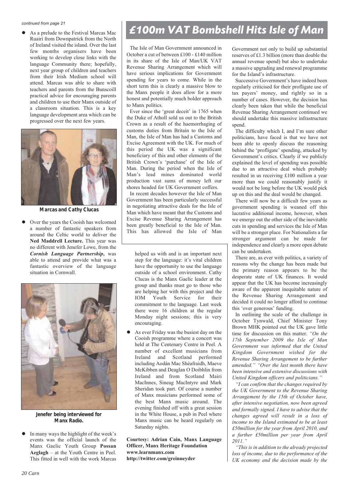*continued from page 21*

 $\bullet$ Ruairí from Downpatrick from the North of Ireland visited the island. Over the last few months organisers have been working to develop close links with the language Community there; hopefully, next year group of children and teachers from their Irish Medium school will attend. Marcas was able to share with teachers and parents from the Bunscoill practical advice for encouraging parents and children to use their Manx outside of a classroom situation. This is a key language development area which can be progressed over the next few years.



*Marcas and Cathy Clucas*

 $\bullet$  Over the years the Cooish has welcomed a number of fantastic speakers from around the Celtic world to deliver the **Ned Maddrell Lecture.** This year was no different with Jenefer Lowe, from the *Cornish Language Partnership***,** was able to attend and provide what was a fantastic overview of the language situation in Cornwall.



*Jenefer being interviewed for Manx Radio.*

 $\bullet$  In many ways the highlight of the week's events was the official launch of the Manx Gaelic Youth Group **Possan Aeglagh** – at the Youth Centre in Peel. This fitted in well with the work Marcas

# As a prelude to the Festival Marcas Mac **E100m VAT Bombshell Hits Isle of Man**

The Isle of Man Government announced in October a cut of between £100 - £140 million in its share of the Isle of Man/UK VAT Revenue Sharing Arrangement which will have serious implications for Government spending for years to come. While in the short term this is clearly a massive blow to the Manx people it does allow for a more honest and potentially much bolder approach to Manx politics.

Ever since the 'great deceit' in 1765 when the Duke of Atholl sold us out to the British Crown as a result of the haemorrhaging of customs duties from Britain to the Isle of Man, the Isle of Man has had a Customs and Excise Agreement with the UK. For much of this period the UK was a significant beneficiary of this and other elements of the British Crown's 'purchase' of the Isle of Man. During the period when the Isle of Man's lead mines dominated world production vast sums of money left our shores headed for UK Government coffers.

In recent decades however the Isle of Man Government has been particularly successful in negotiating attractive deals for the Isle of Man which have meant that the Customs and Excise Revenue Sharing Arrangement has been greatly beneficial to the Isle of Man. This has allowed the Isle of Man

helped us with and is an important next step for the language: it's vital children have the opportunity to use the language outside of a school environment. Cathy Clucas is the Manx Gaelic leader at the group and thanks must go to those who are helping her with this project and the IOM Youth Service for their commitment to the language. Last week there were 16 children at the regular Monday night sessions; this is very encouraging.

 $\bullet$  As ever Friday was the busiest day on the Cooish programme where a concert was held at The Centenary Centre in Peel. A number of excellent musicians from Ireland and Scotland performed including Aodán Mac Shéafraidh, Maeve McKibben and Deaglan O Doibhlin from Ireland and from Scotland Mairi MacInnes, Sineag MacIntyre and Mark Sheridan took part. Of course a number of Manx musicians performed some of the best Manx music around. The evening finished off with a great session in the White House, a pub in Peel where Manx music can be heard regularly on Saturday nights.

**Courtesy: Adrian Cain, Manx Language Officer, Manx Heritage Foundation www.learnmanx.com http://twitter.com/greinneyder**

Government not only to build up substantial reserves of £1.3 billion (more than double the annual revenue spend) but also to undertake a massive upgrading and renewal programme for the Island's infrastructure.

Successive Government's have indeed been regularly criticised for their profligate use of tax payers' money, and rightly so in a number of cases. However, the decision has clearly been taken that while the beneficial Revenue Sharing Arrangement continued we should undertake this massive infrastructure spend.

The difficulty which I, and I'm sure other politicians, have faced is that we have not been able to openly discuss the reasoning behind the 'profligate' spending, attacked by Government's critics. Clearly if we publicly explained the level of spending was possible due to an attractive deal which probably resulted in us receiving £100 million a year more than we could reasonably justify it would not be long before the UK would pick up on this and the deal would be changed.

There will now be a difficult few years as government spending is weaned off this lucrative additional income, however, when we emerge out the other side of the inevitable cuts in spending and services the Isle of Man will be a stronger place. For Nationalists a far stronger argument can be made for independence and clearly a more open debate can be undertaken.

There are, as ever with politics, a variety of reasons why the change has been made but the primary reason appears to be the desperate state of UK finances. It would appear that the UK has become increasingly aware of the apparent inequitable nature of the Revenue Sharing Arrangement and decided it could no longer afford to continue this 'over generous' funding.

In outlining the scale of the challenge in October Tynwald, Chief Minister Tony Brown MHK pointed out the UK gave little time for discussion on this matter. *"On the 17th September 2009 the Isle of Man Government was informed that the United Kingdom Government wished for the Revenue Sharing Arrangement to be further amended." "Over the last month there have been intensive and extensive discussions with United Kingdom officers and politicians."*

*"I can confirm that the changes required by the UK Government to the Revenue Sharing Arrangement by the 15th of October have, after intensive negotiation, now been agreed and formally signed. I have to advise that the changes agreed will result in a loss of income to the Island estimated to be at least £50million for the year from April 2010, and a further £50million per year from April 2011."* 

*"This is in addition to the already projected loss of income, due to the performance of the UK economy and the decision made by the*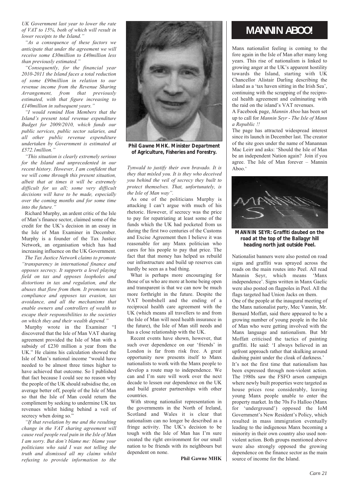*UK Government last year to lower the rate of VAT to 15%, both of which will result in lower receipts to the Island."*

*"As a consequence of these factors we anticipate that under the agreement we will receive some £30million to £40million less than previously estimated."*

*"Consequently, for the financial year 2010-2011 the Island faces a total reduction of some £90million in relation to our revenue income from the Revenue Sharing Arrangement, from that previously estimated, with that figure increasing to £140million in subsequent years."*

*"I would remind Hon Members that the Island's present total revenue expenditure Budget for 2009/2010, which funds our public services, public sector salaries, and all other public revenue expenditure undertaken by Government is estimated at £572.1million."*

*"This situation is clearly extremely serious for the Island and unprecedented in our recent history. However, I am confident that we will come through this present situation, albeit that at times it will be extremely difficult for us all; some very difficult decisions will have to be made, especially over the coming months and for some time into the future."*

Richard Murphy, an ardent critic of the Isle of Man's finance sector, claimed some of the credit for the UK's decision in an essay in the Isle of Man Examiner in December. Murphy is a founder of the Tax Justice Network, an organisation which has had increasing influence on the UK Government.

*The Tax Justice Network claims to promote "transparency in international finance and opposes secrecy. It supports a level playing field on tax and opposes loopholes and distortions in tax and regulation, and the abuses that flow from them. It promotes tax compliance and opposes tax evasion, tax avoidance, and all the mechanisms that enable owners and controllers of wealth to escape their responsibilities to the societies on which they and their wealth depend."*

Murphy wrote in the Examiner "I discovered that the Isle of Man VAT sharing agreement provided the Isle of Man with a subsidy of £230 million a year from the UK." He claims his calculation showed the Isle of Man's national income "would have needed to be almost three times higher to have achieved that outcome. So I published that fact because I could see no reason why the people of the UK should subsidise the, on average better off, people of the Isle of Man so that the Isle of Man could return the compliment by seeking to undermine UK tax revenues whilst hiding behind a veil of secrecy when doing so."

*"If that revelation by me and the resulting change in the VAT sharing agreement will cause real people real pain in the Isle of Man I am sorry. But don't blame me: blame your politicians who said I was not telling the truth and dismissed all my claims whilst refusing to provide information to the*



*Phil Gawne MHK. Minister Department of Agriculture, Fisheries and Forestry.*

*Tynwald to justify their own bravado. It is they that misled you. It is they who deceived you behind the veil of secrecy they built to protect themselves. That, unfortunately, is the Isle of Man way".*

As one of the politicians Murphy is attacking I can't argue with much of his rhetoric. However, if secrecy was the price to pay for repatriating at least some of the funds which the UK had pocketed from us during the first two centuries of the Customs and Excise Agreement then I believe it was reasonable for any Manx politician who cares for his people to pay that price. The fact that that money has helped us rebuild our infrastructure and build up reserves can hardly be seen as a bad thing.

What is perhaps more encouraging for those of us who are more at home being open and transparent is that we can now be much more forthright in the future. Despite the VAT bombshell and the ending of a reciprocal health care agreement with the UK (which means all travellers to and from the Isle of Man will need health insurance in the future), the Isle of Man still needs and has a close relationship with the UK.

Recent events have shown, however, that such over dependence on our 'friends' in London is far from risk free. A great opportunity now presents itself to Manx nationalists to work with the Manx people to develop a route map to independence. We can and I'm sure will work over the next decade to lessen our dependence on the UK and build greater partnerships with other countries.

With strong nationalist representation in the governments in the North of Ireland, Scotland and Wales it is clear that nationalism can no longer be described as a fringe activity. The UK's decision to be tough with the Isle of Man has I'm sure created the right environment for our small nation to be friends with its neighbours but dependent on none.

**Phil Gawne MHK**

### **MANNIN ABOO!**

Manx nationalist feeling is coming to the fore again in the Isle of Man after many long years. This rise of nationalism is linked to growing anger at the UK's apparent hostility towards the Island, starting with UK Chancellor Alistair Darling describing the island as a 'tax haven sitting in the Irish Sea', continuing with the scrapping of the reciprocal health agreement and culminating with the raid on the island's VAT revenues.

A Facebook page, *Mannin Aboo* has been set up to call for *Mannin Seyr - The Isle of Mann a Republic !!*

The page has attracted widespread interest since its launch in December last. The creator of the site goes under the name of Manannan Mac Leirr and asks: 'Should the Isle of Man be an independent Nation again? Join if you agree. The Isle of Man forever – Mannin Aboo.'



*MANNIN SEYR: Graffiti daubed on the road at the top of the Ballagyr hill heading north just outside Peel.*

Nationalist banners were also posted on road signs and graffiti was sprayed across the roads on the main routes into Peel. All read Mannin Seyr, which means 'Manx independence'. Signs written in Manx Gaelic were also posted on flagpoles in Peel. All the flags targeted had Union Jacks on them. One of the people at the inaugural meeting of the Manx nationalist party, Mec Vannin, Mr. Bernard Moffatt, said there appeared to be a growing number of young people in the Isle of Man who were getting involved with the Manx language and nationalism. But Mr Moffatt criticised the tactics of painting graffiti. He said: 'I always believed in an upfront approach rather that skulking around daubing paint under the cloak of darkness.' It's not the first time that nationalism has been expressed through non-violent action. The 1980s saw the FSFO arson campaign where newly built properties were targeted as house prices rose considerably, leaving young Manx people unable to enter the property market. In the 70s Fo Halloo (Manx for 'underground') opposed the IoM Government's New Resident's Policy, which resulted in mass immigration eventually leading to the indigenous Manx becoming a minority in their own country also used nonviolent action. Both groups mentioned above were also strongly opposed the growing dependence on the finance sector as the main source of income for the Island.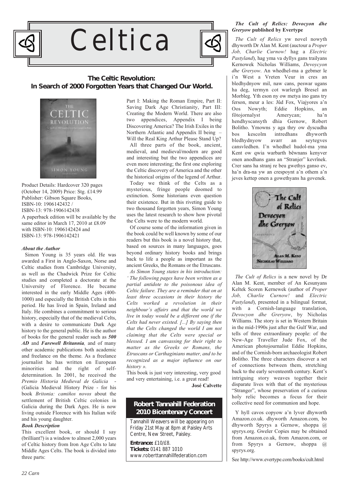

# Celtica



### **The Celtic Revolution: In Search of 2000 Forgotten Years that Changed Our World.**



Product Details: Hardcover 320 pages (October 14, 2009) Price: Stg. £14.99 Publisher: Gibson Square Books, ISBN-10: 1906142432 / ISBN-13: 978-1906142438 A paperback edition will be available by the same editor in March 17, 2010 at £8.09 with ISBN-10: 1906142424 and ISBN-13: 978-1906142421

#### *About the Author*

Simon Young is 35 years old. He was awarded a First in Anglo-Saxon, Norse and Celtic studies from Cambridge University, as well as the Chadwick Prize for Celtic studies and completed a doctorate at the University of Florence. He became interested in the early Middle Ages (400- 1000) and especially the British Celts in this period. He has lived in Spain, Ireland and Italy. He combines a commitment to serious history, especially that of the medieval Celts, with a desire to communicate Dark Age history to the general public. He is the author of books for the general reader such as *500 AD* and *Farewell Britannia,* and of many other academic publications both academic and freelance on the theme. As a freelance journalist he has written on European minorities and the right of selfdetermination. In 2001, he received the *Premio Historia Medieval de Galicia* - (Galicia Medieval History Prize - for his book *Britonia: camiños novos* about the settlement of British Celtic colonies in Galicia during the Dark Ages. He is now living outside Florence with his Italian wife and his young daughter.

#### *Book Description*

This excellent book, or should I say (brilliant?) is a window to almost 2,000 years of Celtic history from Iron Age Celts to late Middle Ages Celts. The book is divided into three parts:

Part I: Making the Roman Empire, Part II: Saving Dark Age Christianity, Part III: Creating the Modern World. There are also two appendices, Appendix I being Discovering America? The Irish Exiles in the Northern Atlantic and Appendix II being – Will the Real King Arthur Please Stand Up?

All three parts of the book, ancient, medieval, and medieval/modern are good and interesting but the two appendices are even more interesting; the first one exploring the Celtic discovery of America and the other the historical origins of the legend of Arthur.

Today we think of the Celts as a mysterious, fringe people doomed to extinction. Some historians even question their existence. But in this riveting guide to two thousand forgotten years, Simon Young uses the latest research to show how pivotal the Celts were to the modern world.

Of course some of the information given in the book could be well known by some of our readers but this book is a novel history that, based on sources in many languages, goes beyond ordinary history books and brings back to life a people as important as the ancient Greeks, the Romans or the Etruscans.

*As Simon Young states in his introduction: ' The following pages have been written as a partial antidote to the poisonous idea of Celtic failure. They are a reminder that on at least three occasions in their history the Celts worked a revolution in their neighbour's affairs and that the world we live in today would be a different one if the Celts had never existed. [...] By saying then that the Celts changed the world I am not claiming that the Celts were special or blessed. I am canvassing for their right to matter as the Greeks or Romans, the Etruscans or Carthaginians matter, and to be recognized as a major influence on our history ».*

This book is just very interesting, very good and very entertaining, i.e. a great read!

**José Calvette**

### **Robert Tannahill Federation 2010 Bicentenary Concert**

Tannahill Weavers will be appearing on Friday 21st May at 8pm at Paisley Arts Centre, New Street, Paisley.

**Entrance:** £10/£8. **Tickets:** 0141 887 1010 www.roberttannahillfederation.com

#### *The Cult of Relics: Devocyon dhe Greryow* **published by Evertype**

*The Cult of Relics* yw novel nowyth dhyworth Dr Alan M. Kent (auctour a *Proper Job, Charlie Curnow!* hag a *Electric Pastyland*), hag yma va dyllys gans trailyans Kernowek Nicholas Williams, *Devoycyon dhe Greryow*. An whedhel-ma a gebmer le i'n West a Vreten Veur in cres an bledhydnyow mil, naw cans, peswar ugans ha deg, termyn cot warlergh Bresel an Morbleg. Yth eson ny ow metya ino gans try ferson, meur a les: Jûd Fox, Viajyores a'n Oos Nowyth: Eddie Hopkins, fôtojornalyst Amerycan; ha'n hendhyscansyth dhia Gernow, Robert Bolitho. Ymowns y aga thry ow dyscudha<br>bos kescolm intredhans dhyworth bos kescolm intredhans dhyworth bledhydnyow avarr an seytegves cansvledhen. I'n whedhel hudol-ma yma Kent ow qwia warbarth bêwnans kenyver onen anodhans gans an "Stranjer" kevrînek. Crer sans ha stranj re beu gwethys ganso ev, ha'n dra-na yw an crespoynt a'n othem a'n jeves kettep onen a gowethyans ha govenek.



*The Cult of Relics* is a new novel by Dr Alan M. Kent, member of An Kesunyans Keltek Scoren Kernewek (author of *Proper Job, Charlie Curnow!* and *Electric Pastyland*), presented in a bilingual format, with a Cornish-language translation, *Devocyon dhe Greryow*, by Nicholas Williams. The story is set in Western Britain in the mid-1990s just after the Gulf War, and tells of three extraordinary people: of the New-Age Traveller Jude Fox, of the American photojournalist Eddie Hopkins, and of the Cornish-born archaeologist Robert Bolitho. The three characters discover a set of connections between them, stretching back to the early seventeenth century. Kent's intriguing story weaves together their disparate lives with that of the mysterious "Stranger", whose preservation of a curious holy relic becomes a focus for their collective need for communion and hope.

Y hyll cavos copyow a'n lyver dhyworth Amazon.co.uk. dhyworth Amazon.com, bo dhyworth Spyrys a Gernow, shoppa @ spyrys.org. Gweler Copies may be obtained from Amazon.co.uk, from Amazon.com, or from Spyrys a Gernow, shoppa @ spyrys.org.

See http://www.evertype.com/books/cult.html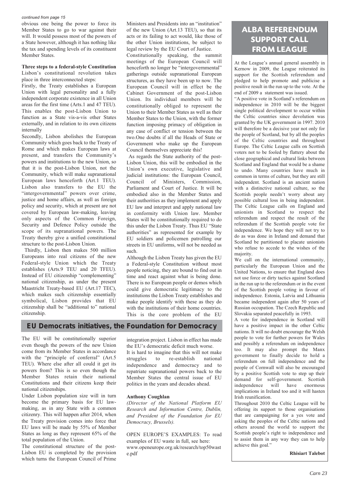#### *continued from page 15*

obvious one being the power to force its Member States to go to war against their will. It would possess most of the powers of a State however, although it has nothing like the tax and spending levels of its constituent Member States.

### **Three steps to a federal-style Constitution**

Lisbon's constitutional revolution takes place in three interconnected steps:

Firstly, the Treaty establishes a European Union with legal personality and a fully independent corporate existence in all Union areas for the first time (Arts.1 and 47 TEU). This enables the post-Lisbon Union to function as a State vis-a-vis other States externally, and in relation to its own citizens internally

Secondly, Lisbon abolishes the European Community which goes back to the Treaty of Rome and which makes European laws at present, and transfers the Community's powers and institutions to the new Union, so that it is the post-Lisbon Union, not the Community, which will make supranational European laws henceforth (Art.1 TEU). Lisbon also transfers to the EU the "intergovernmental" powers over crime, justice and home affairs, as well as foreign policy and security, which at present are not covered by European law-making, leaving only aspects of the Common Foreign, Security and Defence Policy outside the scope of its supranational powers. The Treaty thereby give a unified constitutional structure to the post-Lisbon Union.

Thirdly, Lisbon then makes 500 million Europeans into real citizens of the new Federal-style Union which the Treaty establishes (Arts.9 TEU and 20 TFEU). Instead of EU citizenship "complementing" national citizenship, as under the present Maastricht Treaty-based EU (Art.17 TEC), which makes such citizenship essentially symbolical, Lisbon provides that EU citizenship shall be "additional to" national citizenship.

Ministers and Presidents into an "institution" of the new Union (Art.13 TEU), so that its acts or its failing to act would, like those of the other Union institutions, be subject to legal review by the EU Court of Justice.

Constitutionally speaking, the summit meetings of the European Council will henceforth no longer be "intergovernmental" gatherings outside supranational European structures, as they have been up to now. The European Council will in effect be the Cabinet Government of the post-Lisbon Union. Its individual members will be constitutionally obliged to represent the Union to their Member States as well as their Member States to the Union, with the former function imposing primacy of obligation in any case of conflict or tension between the two.One doubts if all the Heads of State or Government who make up the European Council themselves appreciate this!

As regards the State authority of the post-Lisbon Union, this will be embodied in the Union's own executive, legislative and judicial institutions: the European Council, Council of Ministers, Commission, Parliament and Court of Justice. It will be embodied also in the Member States and their authorities as they implement and apply EU law and interpret and apply national law in conformity with Union law. Member States will be constitutionally required to do this under the Lisbon Treaty. Thus EU "State authorities" as represented for example by EU soldiers and policemen patrolling our streets in EU uniforms, will not be needed as such.

Although the Lisbon Treaty has given the EU a Federal-style Constitution without most people noticing, they are bound to find out in time and react against what is being done. There is no European people or demos which could give democratic legitimacy to the institutions the Lisbon Treaty establishes and make people identify with these as they do with the institutions of their home countries. This is the core problem of the EU

### **EU Democrats initiatives, the Foundation for Democracy**

The EU will be constitutionally superior even though the powers of the new Union come from its Member States in accordance with the "principle of conferral" (Art.5 TEU). Where else after all could it get its powers from? This is so even though the Member States retain their national Constitutions and their citizens keep their national citizenships.

Under Lisbon population size will in turn become the primary basis for EU lawmaking, as in any State with a common citizenry. This will happen after 2014, when the Treaty provision comes into force that EU laws will be made by 55% of Member States as long as they represent 65% of the total population of the Union.

The constitutional structure of the post-Lisbon EU is completed by the provision which turns the European Council of Prime

integration project. Lisbon in effect has made the EU's democratic deficit much worse.

It is hard to imagine that this will not make struggles to re-establish national independence and democracy and to repatriate supranational powers back to the Member States the central issue of EU politics in the years and decades ahead.

#### **Anthony Coughlan**

*(Director of the National Platform EU Research and Information Centre, Dublin, and President of the Foundation for EU Democracy, Brussels).* 

OPEN EUROPE'S EXAMPLES: To read examples of EU waste in full, see here: www.openeurope.org.uk/research/top50wast e.pdf

### **ALBA REFERENDUM SUPPORT CALL FROM LEAGUE**

At the League's annual general assembly in Kernow in 2009, the League reiterated its support for the Scottish referendum and pledged to help promote and publicise a positive result in the run up to the vote. At the end of 2009 a statement was issued.

"A positive vote in Scotland's referendum on independence in 2010 will be the biggest single political development to occur within the Celtic countries since devolution was granted by the UK government in 1997. 2010 will therefore be a decisive year not only for the people of Scotland, but by all the peoples of the Celtic countries and throughout Europe. The Celtic League calls on Scottish voters not to be fooled by flattery about the close geographical and cultural links between Scotland and England that would be a shame to undo. Many countries have much in common in terms of culture, but they are still independent. Scotland is an ancient nation with a distinctive national culture, so the Scottish people needn't worry about any possible cultural loss in being independent. The Celtic League calls on England and unionists in Scotland to respect the referendum and respect the result of the referendum if the Scottish people vote for independence. We hope they will not try to do as was done in Ireland and demand that Scotland be partitioned to placate unionists who refuse to accede to the wishes of the majority.

We call on the international community, particularly the European Union and the United Nations, to ensure that England does not use force or dirty tactics against Scotland in the run up to the referendum or in the event of the Scottish people voting in favour of independence. Estonia, Latvia and Lithuania became independent again after 50 years of Russian occupation. The Czech Republic and Slovakia separated peacefully in 1993.

A vote for independence in Scotland will have a positive impact in the other Celtic nations. It will no doubt encourage the Welsh people to vote for further powers for Wales and possibly a referendum on independence too. It may also prompt the Manx government to finally decide to hold a referendum on full independence and the people of Cornwall will also be encouraged by a positive Scottish vote to step up their demand for self-government. Scottish independence will have enormous implications in Ireland too and it will hasten Irish reunification.

Throughout 2010 the Celtic League will be offering its support to those organisations that are campaigning for a yes vote and asking the peoples of the Celtic nations and others around the world to support the Scottish people's right to independence and to assist them in any way they can to help achieve this goal."

**Rhisiart Talebot**